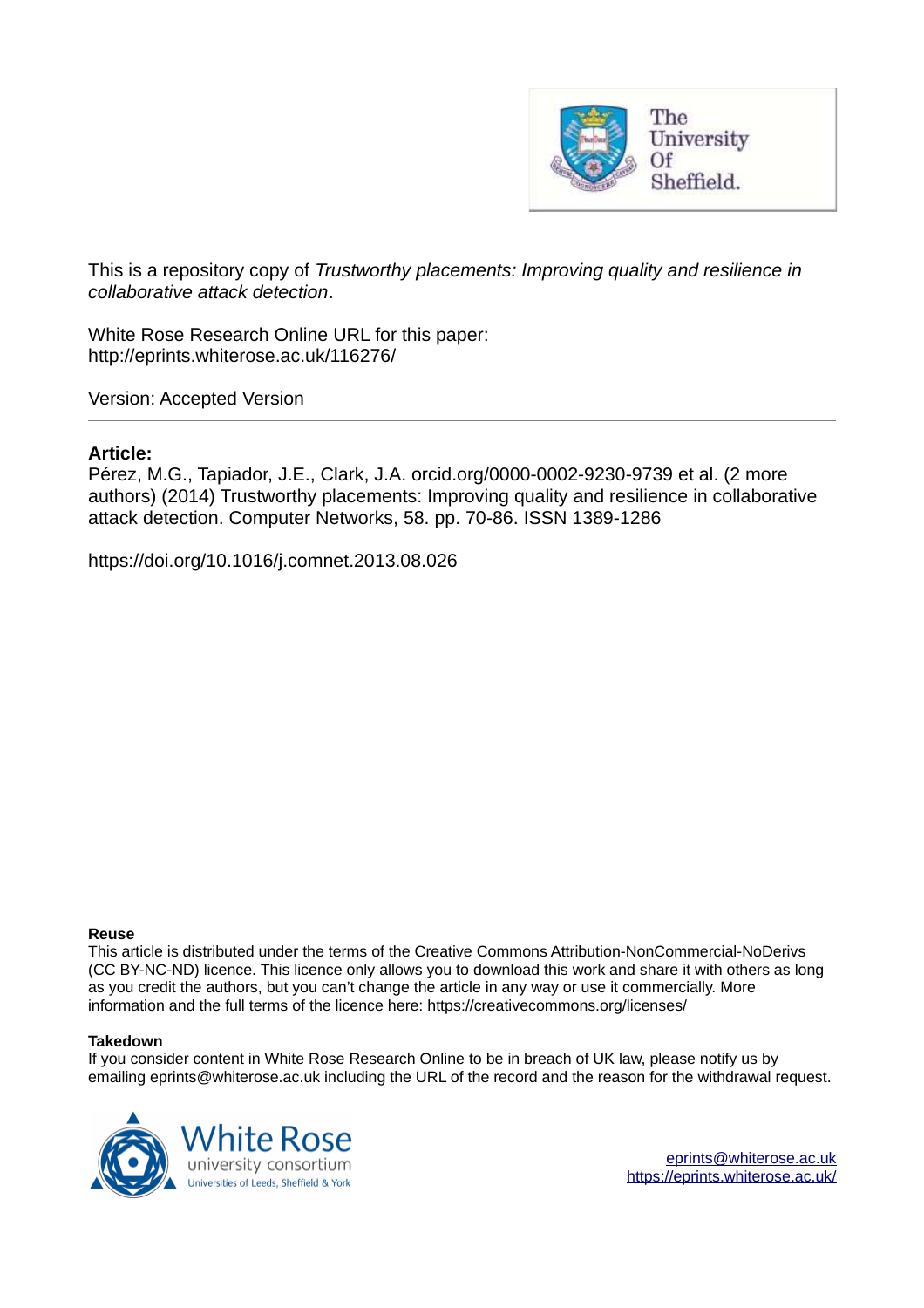

This is a repository copy of *Trustworthy placements: Improving quality and resilience in collaborative attack detection*.

White Rose Research Online URL for this paper: http://eprints.whiterose.ac.uk/116276/

Version: Accepted Version

# **Article:**

Pérez, M.G., Tapiador, J.E., Clark, J.A. orcid.org/0000-0002-9230-9739 et al. (2 more authors) (2014) Trustworthy placements: Improving quality and resilience in collaborative attack detection. Computer Networks, 58. pp. 70-86. ISSN 1389-1286

https://doi.org/10.1016/j.comnet.2013.08.026

# **Reuse**

This article is distributed under the terms of the Creative Commons Attribution-NonCommercial-NoDerivs (CC BY-NC-ND) licence. This licence only allows you to download this work and share it with others as long as you credit the authors, but you can't change the article in any way or use it commercially. More information and the full terms of the licence here: https://creativecommons.org/licenses/

# **Takedown**

If you consider content in White Rose Research Online to be in breach of UK law, please notify us by emailing eprints@whiterose.ac.uk including the URL of the record and the reason for the withdrawal request.



[eprints@whiterose.ac.uk](mailto:eprints@whiterose.ac.uk) <https://eprints.whiterose.ac.uk/>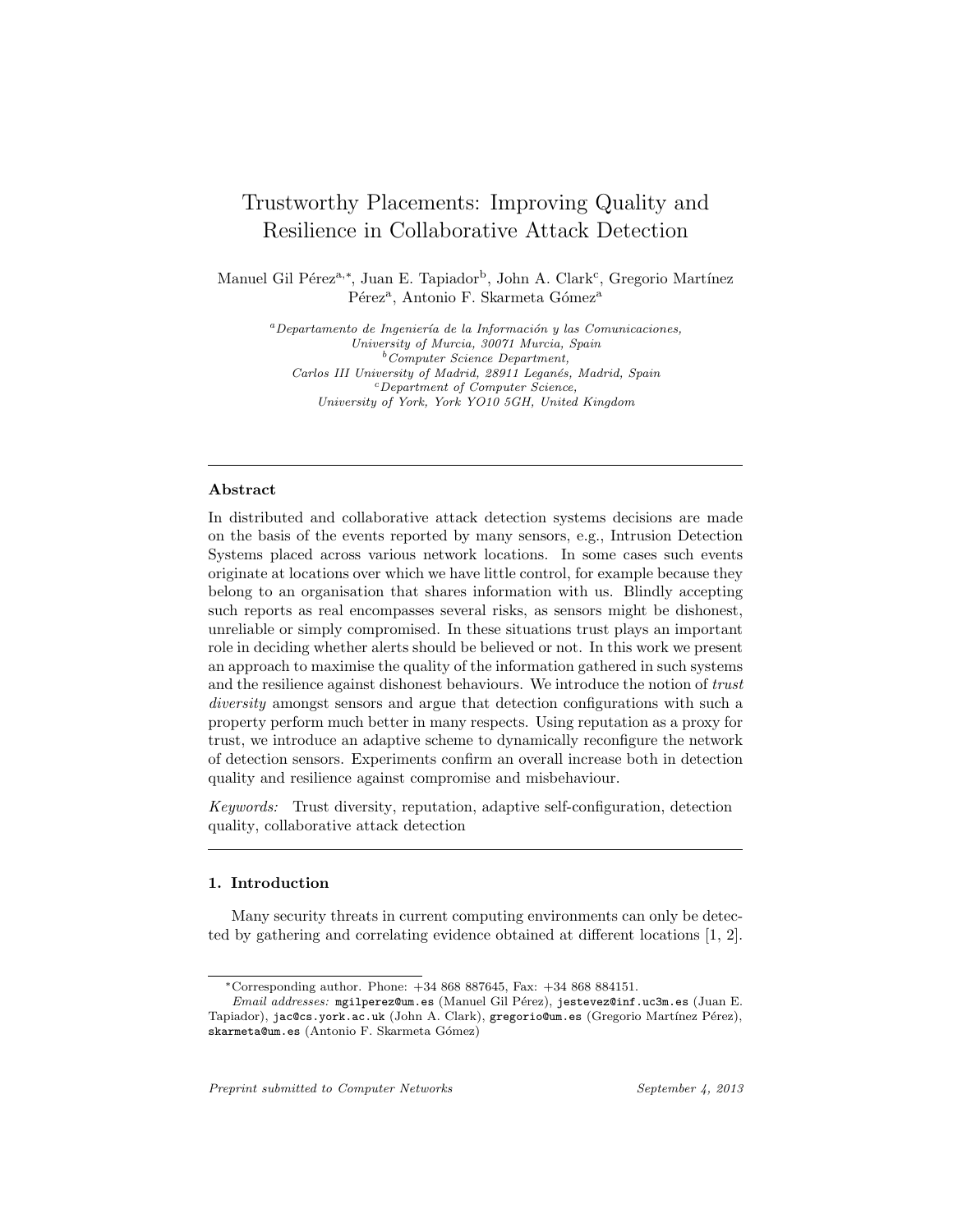# Trustworthy Placements: Improving Quality and Resilience in Collaborative Attack Detection

Manuel Gil Pérez<sup>a,∗</sup>, Juan E. Tapiador<sup>b</sup>, John A. Clark<sup>c</sup>, Gregorio Martínez Pérez<sup>a</sup>, Antonio F. Skarmeta Gómez<sup>a</sup>

> $a<sup>a</sup> Departmento de Ingeniería de la Información y las Comunicaciones,$ University of Murcia, 30071 Murcia, Spain <sup>b</sup>Computer Science Department, Carlos III University of Madrid, 28911 Leganés, Madrid, Spain <sup>c</sup>Department of Computer Science, University of York, York YO10 5GH, United Kingdom

# Abstract

In distributed and collaborative attack detection systems decisions are made on the basis of the events reported by many sensors, e.g., Intrusion Detection Systems placed across various network locations. In some cases such events originate at locations over which we have little control, for example because they belong to an organisation that shares information with us. Blindly accepting such reports as real encompasses several risks, as sensors might be dishonest, unreliable or simply compromised. In these situations trust plays an important role in deciding whether alerts should be believed or not. In this work we present an approach to maximise the quality of the information gathered in such systems and the resilience against dishonest behaviours. We introduce the notion of *trust diversity* amongst sensors and argue that detection configurations with such a property perform much better in many respects. Using reputation as a proxy for trust, we introduce an adaptive scheme to dynamically reconfigure the network of detection sensors. Experiments confirm an overall increase both in detection quality and resilience against compromise and misbehaviour.

*Keywords:* Trust diversity, reputation, adaptive self-configuration, detection quality, collaborative attack detection

## 1. Introduction

Many security threats in current computing environments can only be detected by gathering and correlating evidence obtained at different locations [1, 2].

Preprint submitted to Computer Networks September 4, 2013

<sup>∗</sup>Corresponding author. Phone: +34 868 887645, Fax: +34 868 884151.

Email addresses: mgilperez@um.es (Manuel Gil Pérez), jestevez@inf.uc3m.es (Juan E. Tapiador), jac@cs.york.ac.uk (John A. Clark), gregorio@um.es (Gregorio Martínez Pérez), skarmeta@um.es (Antonio F. Skarmeta Gómez)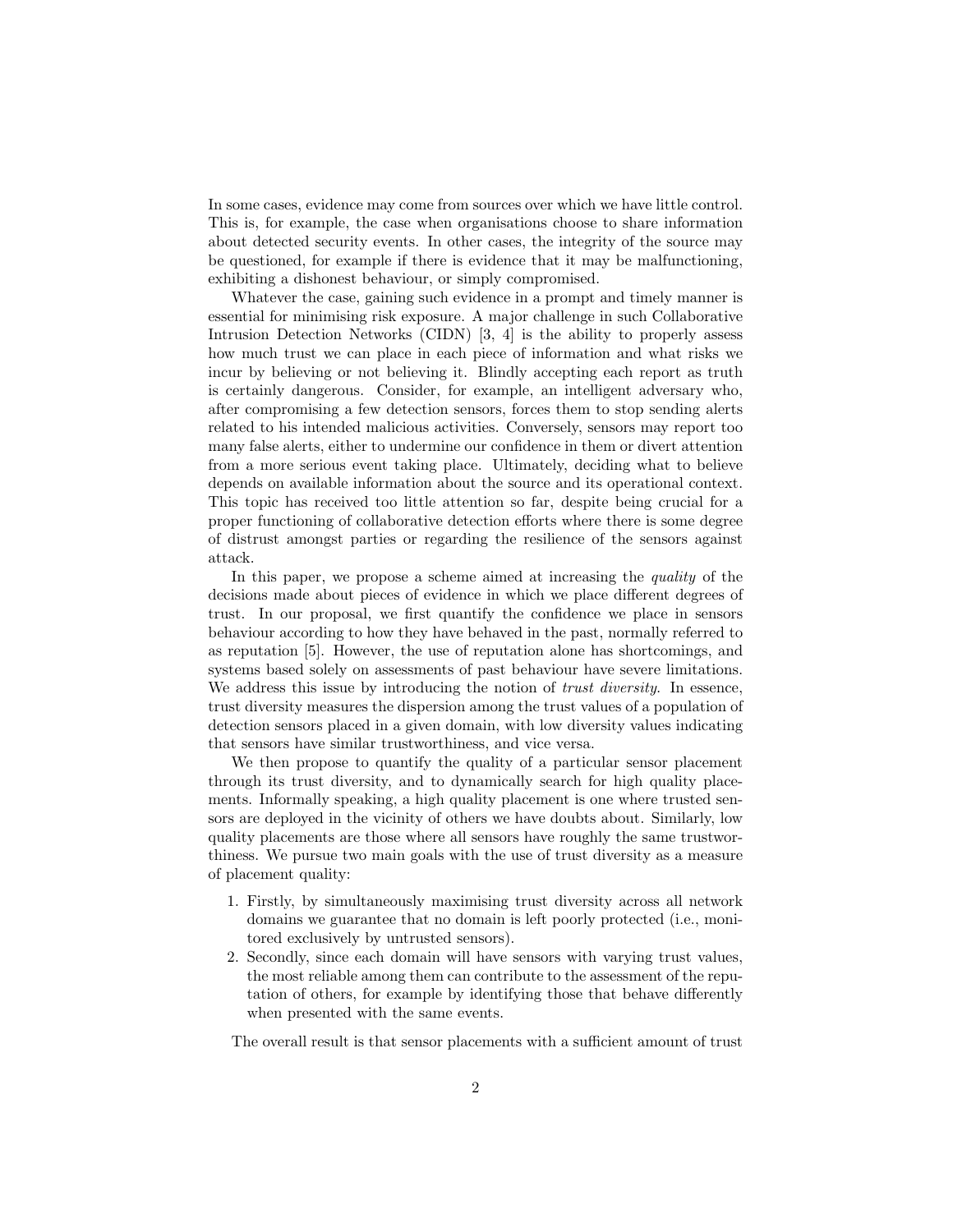In some cases, evidence may come from sources over which we have little control. This is, for example, the case when organisations choose to share information about detected security events. In other cases, the integrity of the source may be questioned, for example if there is evidence that it may be malfunctioning, exhibiting a dishonest behaviour, or simply compromised.

Whatever the case, gaining such evidence in a prompt and timely manner is essential for minimising risk exposure. A major challenge in such Collaborative Intrusion Detection Networks (CIDN) [3, 4] is the ability to properly assess how much trust we can place in each piece of information and what risks we incur by believing or not believing it. Blindly accepting each report as truth is certainly dangerous. Consider, for example, an intelligent adversary who, after compromising a few detection sensors, forces them to stop sending alerts related to his intended malicious activities. Conversely, sensors may report too many false alerts, either to undermine our confidence in them or divert attention from a more serious event taking place. Ultimately, deciding what to believe depends on available information about the source and its operational context. This topic has received too little attention so far, despite being crucial for a proper functioning of collaborative detection efforts where there is some degree of distrust amongst parties or regarding the resilience of the sensors against attack.

In this paper, we propose a scheme aimed at increasing the *quality* of the decisions made about pieces of evidence in which we place different degrees of trust. In our proposal, we first quantify the confidence we place in sensors behaviour according to how they have behaved in the past, normally referred to as reputation [5]. However, the use of reputation alone has shortcomings, and systems based solely on assessments of past behaviour have severe limitations. We address this issue by introducing the notion of *trust diversity*. In essence, trust diversity measures the dispersion among the trust values of a population of detection sensors placed in a given domain, with low diversity values indicating that sensors have similar trustworthiness, and vice versa.

We then propose to quantify the quality of a particular sensor placement through its trust diversity, and to dynamically search for high quality placements. Informally speaking, a high quality placement is one where trusted sensors are deployed in the vicinity of others we have doubts about. Similarly, low quality placements are those where all sensors have roughly the same trustworthiness. We pursue two main goals with the use of trust diversity as a measure of placement quality:

- 1. Firstly, by simultaneously maximising trust diversity across all network domains we guarantee that no domain is left poorly protected (i.e., monitored exclusively by untrusted sensors).
- 2. Secondly, since each domain will have sensors with varying trust values, the most reliable among them can contribute to the assessment of the reputation of others, for example by identifying those that behave differently when presented with the same events.

The overall result is that sensor placements with a sufficient amount of trust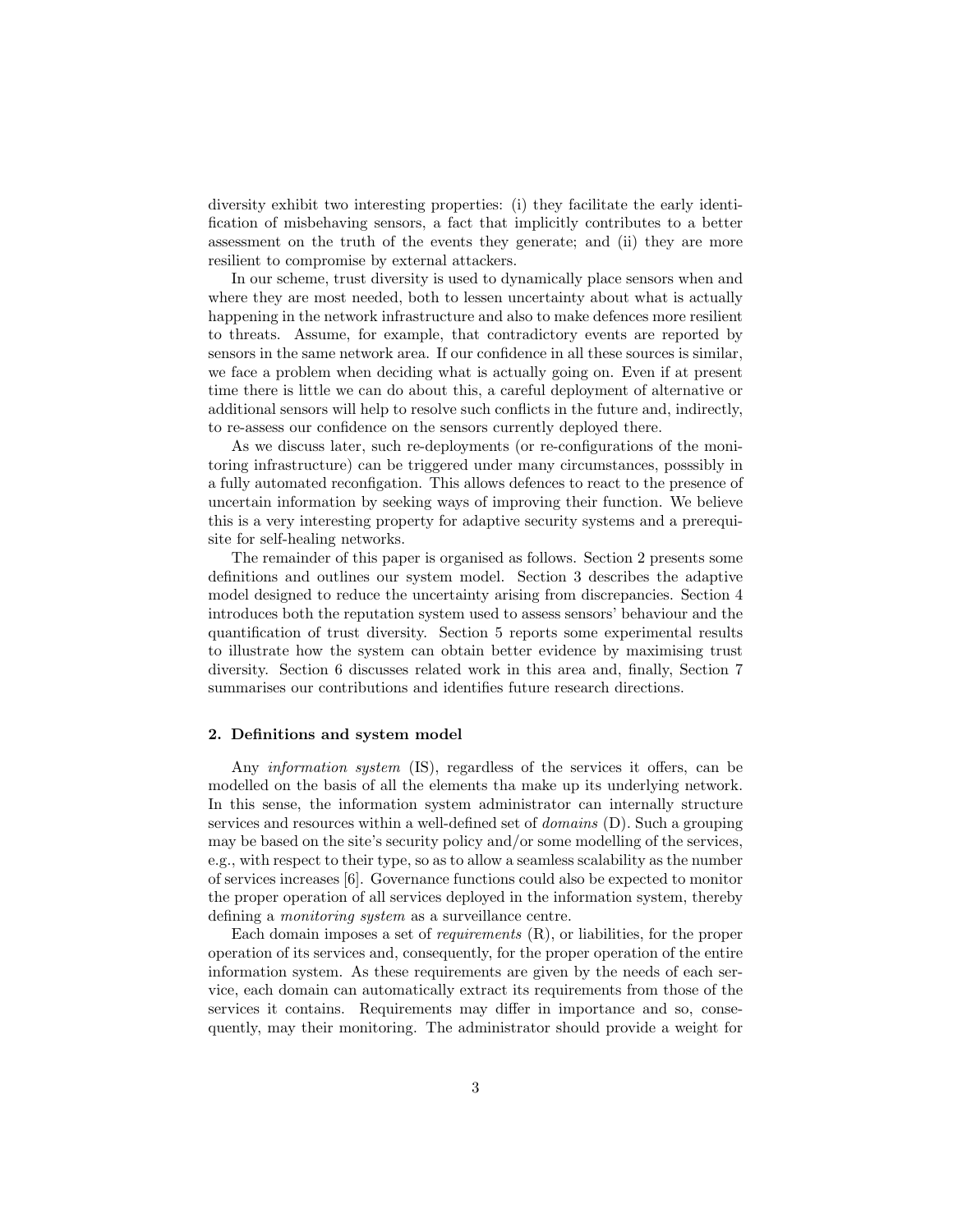diversity exhibit two interesting properties: (i) they facilitate the early identification of misbehaving sensors, a fact that implicitly contributes to a better assessment on the truth of the events they generate; and (ii) they are more resilient to compromise by external attackers.

In our scheme, trust diversity is used to dynamically place sensors when and where they are most needed, both to lessen uncertainty about what is actually happening in the network infrastructure and also to make defences more resilient to threats. Assume, for example, that contradictory events are reported by sensors in the same network area. If our confidence in all these sources is similar, we face a problem when deciding what is actually going on. Even if at present time there is little we can do about this, a careful deployment of alternative or additional sensors will help to resolve such conflicts in the future and, indirectly, to re-assess our confidence on the sensors currently deployed there.

As we discuss later, such re-deployments (or re-configurations of the monitoring infrastructure) can be triggered under many circumstances, posssibly in a fully automated reconfigation. This allows defences to react to the presence of uncertain information by seeking ways of improving their function. We believe this is a very interesting property for adaptive security systems and a prerequisite for self-healing networks.

The remainder of this paper is organised as follows. Section 2 presents some definitions and outlines our system model. Section 3 describes the adaptive model designed to reduce the uncertainty arising from discrepancies. Section 4 introduces both the reputation system used to assess sensors' behaviour and the quantification of trust diversity. Section 5 reports some experimental results to illustrate how the system can obtain better evidence by maximising trust diversity. Section 6 discusses related work in this area and, finally, Section 7 summarises our contributions and identifies future research directions.

#### 2. Definitions and system model

Any *information system* (IS), regardless of the services it offers, can be modelled on the basis of all the elements tha make up its underlying network. In this sense, the information system administrator can internally structure services and resources within a well-defined set of *domains* (D). Such a grouping may be based on the site's security policy and/or some modelling of the services, e.g., with respect to their type, so as to allow a seamless scalability as the number of services increases [6]. Governance functions could also be expected to monitor the proper operation of all services deployed in the information system, thereby defining a *monitoring system* as a surveillance centre.

Each domain imposes a set of *requirements* (R), or liabilities, for the proper operation of its services and, consequently, for the proper operation of the entire information system. As these requirements are given by the needs of each service, each domain can automatically extract its requirements from those of the services it contains. Requirements may differ in importance and so, consequently, may their monitoring. The administrator should provide a weight for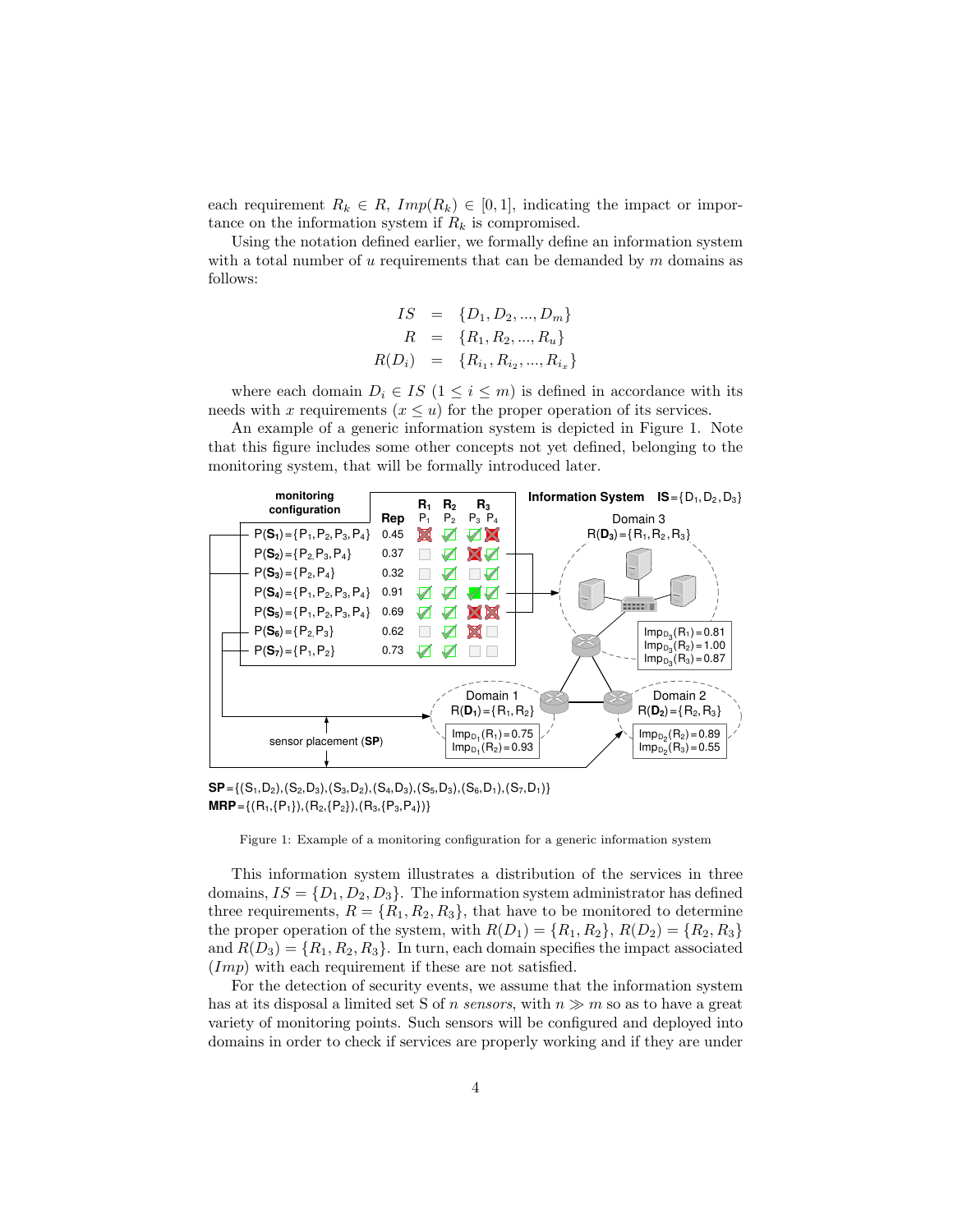each requirement  $R_k \in R$ ,  $Imp(R_k) \in [0,1]$ , indicating the impact or importance on the information system if  $R_k$  is compromised.

Using the notation defined earlier, we formally define an information system with a total number of u requirements that can be demanded by  $m$  domains as follows:

$$
IS = \{D_1, D_2, ..., D_m\}
$$
  
\n
$$
R = \{R_1, R_2, ..., R_u\}
$$
  
\n
$$
R(D_i) = \{R_{i_1}, R_{i_2}, ..., R_{i_x}\}
$$

where each domain  $D_i \in IS$  ( $1 \leq i \leq m$ ) is defined in accordance with its needs with x requirements  $(x \le u)$  for the proper operation of its services.

An example of a generic information system is depicted in Figure 1. Note that this figure includes some other concepts not yet defined, belonging to the monitoring system, that will be formally introduced later.



 $MRP = \{(R_1, \{P_1\}), (R_2, \{P_2\}), (R_3, \{P_3, P_4\})\}$  $SP = \{ (S_1, D_2), (S_2, D_3), (S_3, D_2), (S_4, D_3), (S_5, D_3), (S_6, D_1), (S_7, D_1) \}$ 

Figure 1: Example of a monitoring configuration for a generic information system

This information system illustrates a distribution of the services in three domains,  $IS = \{D_1, D_2, D_3\}$ . The information system administrator has defined three requirements,  $R = \{R_1, R_2, R_3\}$ , that have to be monitored to determine the proper operation of the system, with  $R(D_1) = \{R_1, R_2\}, R(D_2) = \{R_2, R_3\}$ and  $R(D_3) = \{R_1, R_2, R_3\}$ . In turn, each domain specifies the impact associated  $(Imp)$  with each requirement if these are not satisfied.

For the detection of security events, we assume that the information system has at its disposal a limited set S of *n sensors*, with  $n \gg m$  so as to have a great variety of monitoring points. Such sensors will be configured and deployed into domains in order to check if services are properly working and if they are under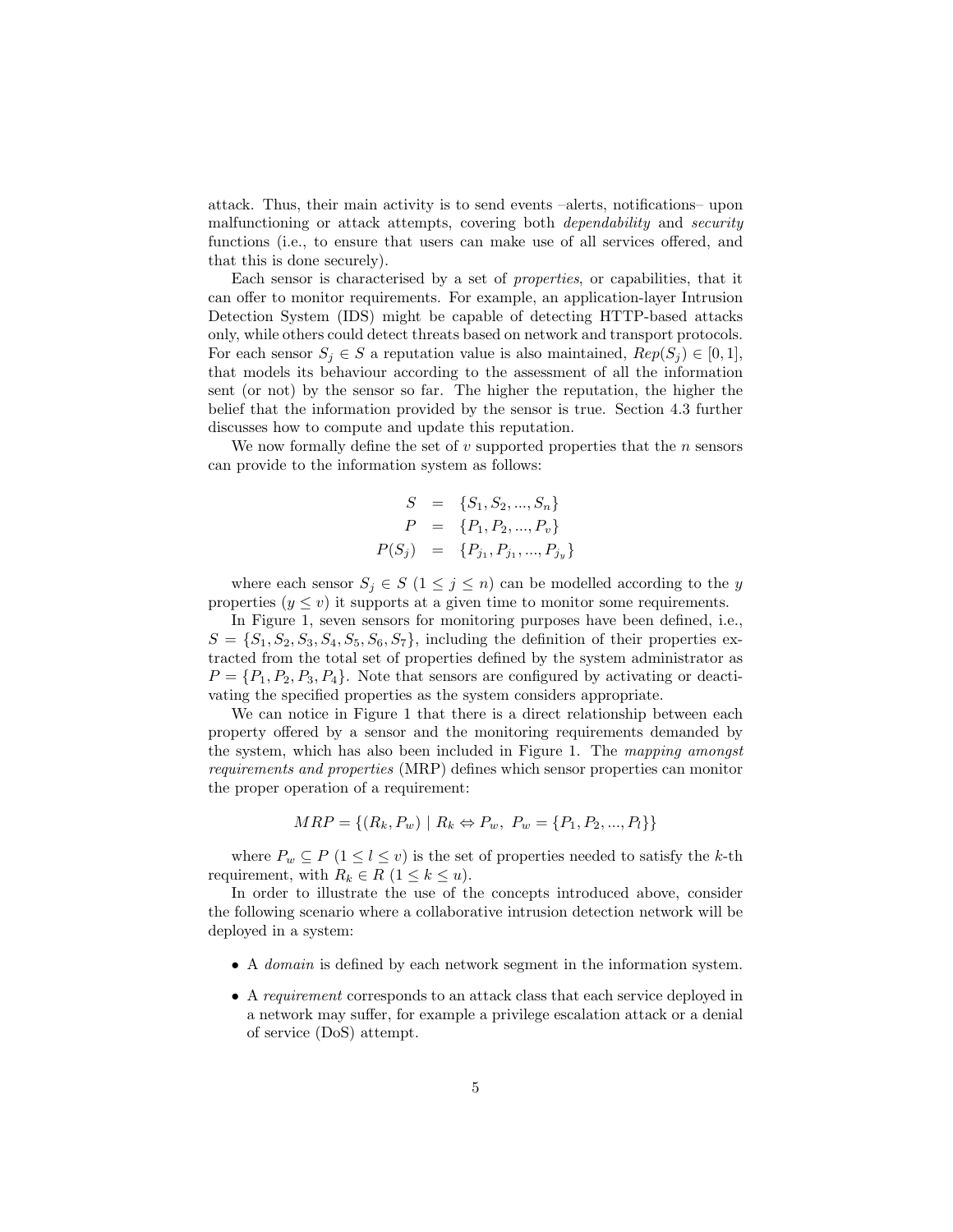attack. Thus, their main activity is to send events –alerts, notifications– upon malfunctioning or attack attempts, covering both *dependability* and *security* functions (i.e., to ensure that users can make use of all services offered, and that this is done securely).

Each sensor is characterised by a set of *properties*, or capabilities, that it can offer to monitor requirements. For example, an application-layer Intrusion Detection System (IDS) might be capable of detecting HTTP-based attacks only, while others could detect threats based on network and transport protocols. For each sensor  $S_i \in S$  a reputation value is also maintained,  $Rep(S_i) \in [0,1],$ that models its behaviour according to the assessment of all the information sent (or not) by the sensor so far. The higher the reputation, the higher the belief that the information provided by the sensor is true. Section 4.3 further discusses how to compute and update this reputation.

We now formally define the set of  $v$  supported properties that the  $n$  sensors can provide to the information system as follows:

$$
S = \{S_1, S_2, ..., S_n\}
$$
  
\n
$$
P = \{P_1, P_2, ..., P_v\}
$$
  
\n
$$
P(S_j) = \{P_{j_1}, P_{j_1}, ..., P_{j_y}\}
$$

where each sensor  $S_i \in S$   $(1 \leq j \leq n)$  can be modelled according to the y properties  $(y \le v)$  it supports at a given time to monitor some requirements.

In Figure 1, seven sensors for monitoring purposes have been defined, i.e.,  $S = \{S_1, S_2, S_3, S_4, S_5, S_6, S_7\}$ , including the definition of their properties extracted from the total set of properties defined by the system administrator as  $P = \{P_1, P_2, P_3, P_4\}.$  Note that sensors are configured by activating or deactivating the specified properties as the system considers appropriate.

We can notice in Figure 1 that there is a direct relationship between each property offered by a sensor and the monitoring requirements demanded by the system, which has also been included in Figure 1. The *mapping amongst requirements and properties* (MRP) defines which sensor properties can monitor the proper operation of a requirement:

$$
MRP = \{(R_k, P_w) \mid R_k \Leftrightarrow P_w, P_w = \{P_1, P_2, ..., P_l\}\}
$$

where  $P_w \subseteq P$  ( $1 \leq l \leq v$ ) is the set of properties needed to satisfy the k-th requirement, with  $R_k \in R$  ( $1 \leq k \leq u$ ).

In order to illustrate the use of the concepts introduced above, consider the following scenario where a collaborative intrusion detection network will be deployed in a system:

- A *domain* is defined by each network segment in the information system.
- A *requirement* corresponds to an attack class that each service deployed in a network may suffer, for example a privilege escalation attack or a denial of service (DoS) attempt.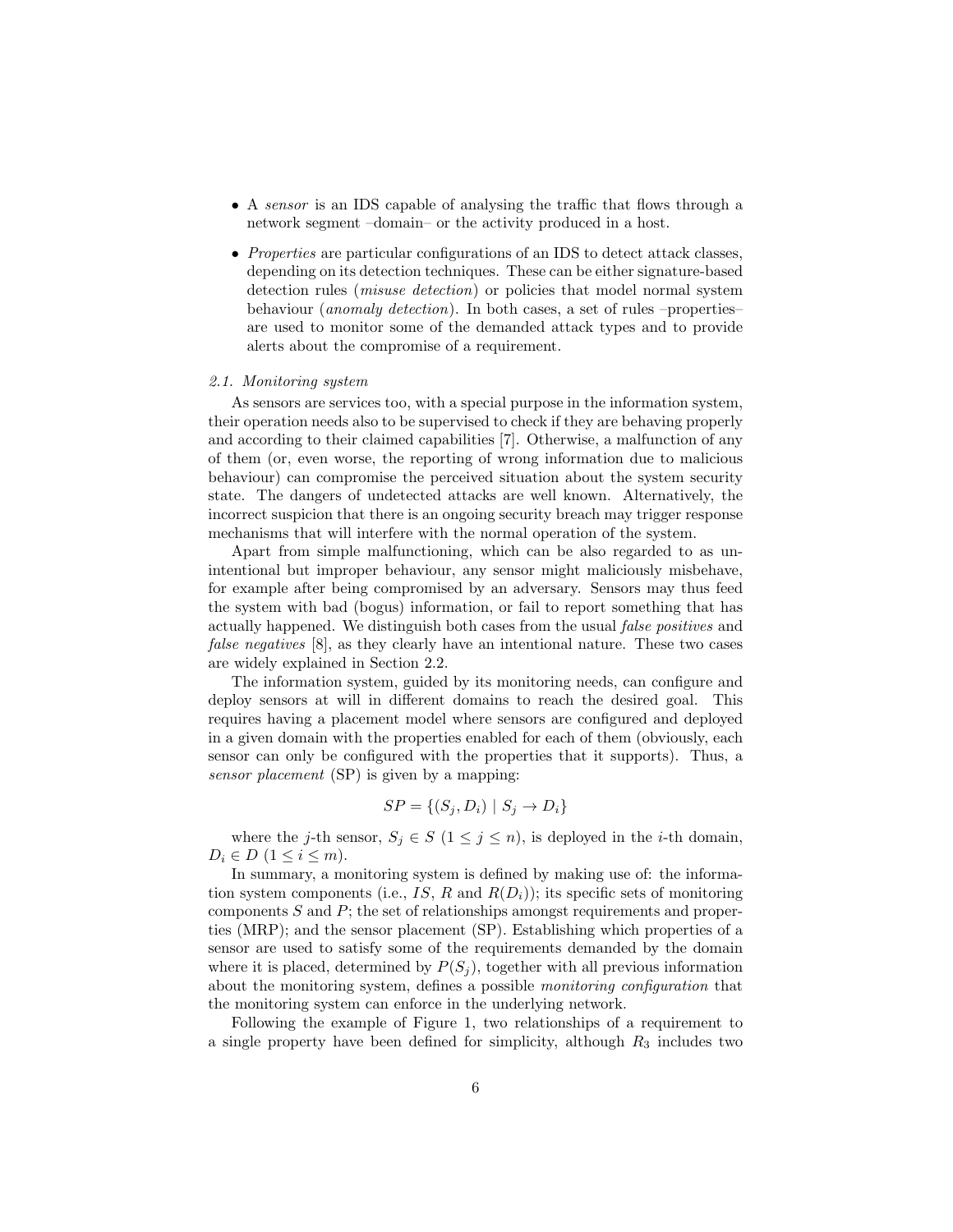- A *sensor* is an IDS capable of analysing the traffic that flows through a network segment –domain– or the activity produced in a host.
- *Properties* are particular configurations of an IDS to detect attack classes, depending on its detection techniques. These can be either signature-based detection rules (*misuse detection*) or policies that model normal system behaviour (*anomaly detection*). In both cases, a set of rules –properties– are used to monitor some of the demanded attack types and to provide alerts about the compromise of a requirement.

#### *2.1. Monitoring system*

As sensors are services too, with a special purpose in the information system, their operation needs also to be supervised to check if they are behaving properly and according to their claimed capabilities [7]. Otherwise, a malfunction of any of them (or, even worse, the reporting of wrong information due to malicious behaviour) can compromise the perceived situation about the system security state. The dangers of undetected attacks are well known. Alternatively, the incorrect suspicion that there is an ongoing security breach may trigger response mechanisms that will interfere with the normal operation of the system.

Apart from simple malfunctioning, which can be also regarded to as unintentional but improper behaviour, any sensor might maliciously misbehave, for example after being compromised by an adversary. Sensors may thus feed the system with bad (bogus) information, or fail to report something that has actually happened. We distinguish both cases from the usual *false positives* and *false negatives* [8], as they clearly have an intentional nature. These two cases are widely explained in Section 2.2.

The information system, guided by its monitoring needs, can configure and deploy sensors at will in different domains to reach the desired goal. This requires having a placement model where sensors are configured and deployed in a given domain with the properties enabled for each of them (obviously, each sensor can only be configured with the properties that it supports). Thus, a *sensor placement* (SP) is given by a mapping:

$$
SP = \{ (S_j, D_i) \mid S_j \to D_i \}
$$

where the j-th sensor,  $S_j \in S$   $(1 \leq j \leq n)$ , is deployed in the *i*-th domain,  $D_i \in D$   $(1 \leq i \leq m)$ .

In summary, a monitoring system is defined by making use of: the information system components (i.e., IS, R and  $R(D<sub>i</sub>)$ ); its specific sets of monitoring components S and P; the set of relationships amongst requirements and properties (MRP); and the sensor placement (SP). Establishing which properties of a sensor are used to satisfy some of the requirements demanded by the domain where it is placed, determined by  $P(S_i)$ , together with all previous information about the monitoring system, defines a possible *monitoring configuration* that the monitoring system can enforce in the underlying network.

Following the example of Figure 1, two relationships of a requirement to a single property have been defined for simplicity, although  $R_3$  includes two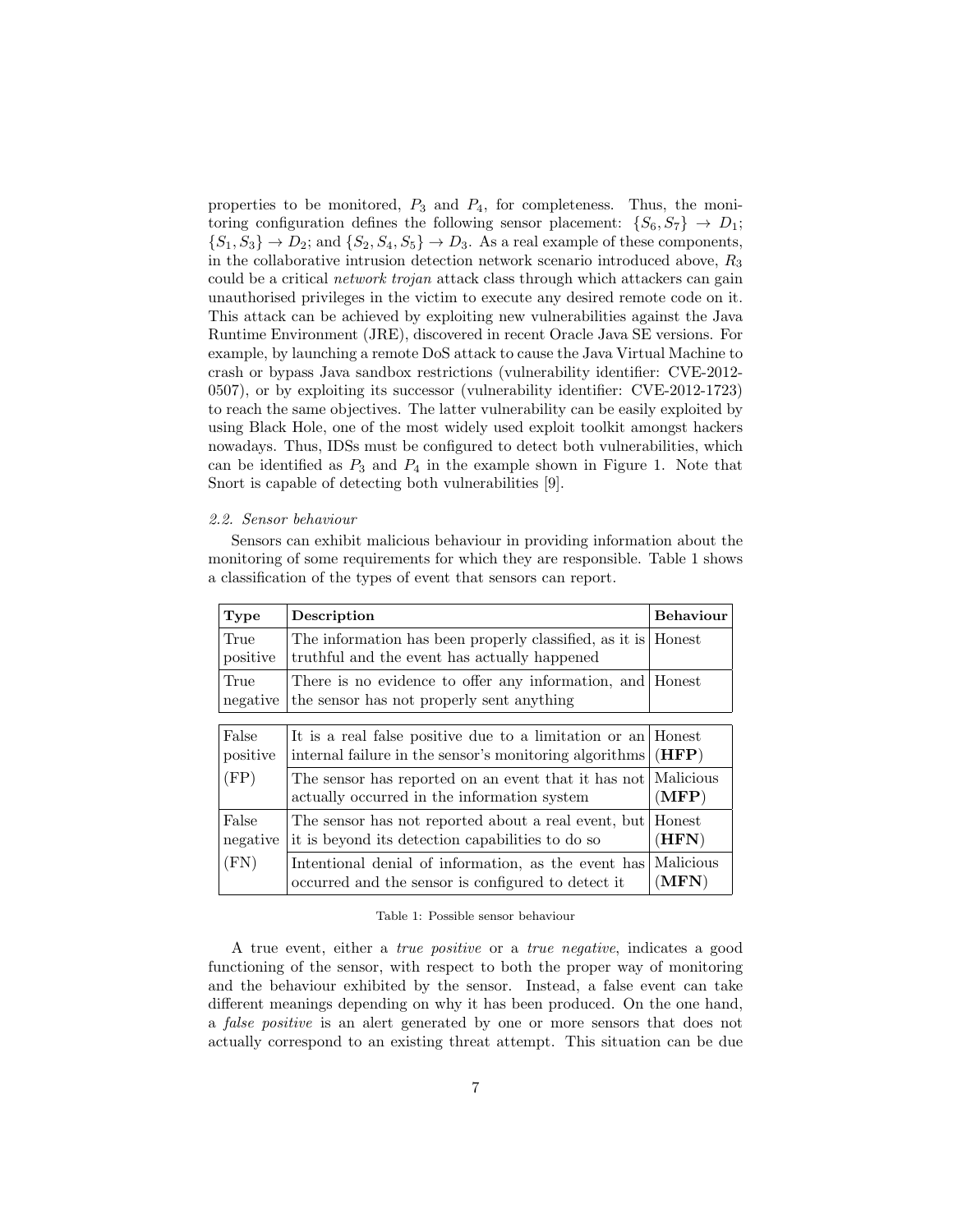properties to be monitored,  $P_3$  and  $P_4$ , for completeness. Thus, the monitoring configuration defines the following sensor placement:  $\{S_6, S_7\} \rightarrow D_1$ ;  $\{S_1, S_3\} \rightarrow D_2$ ; and  $\{S_2, S_4, S_5\} \rightarrow D_3$ . As a real example of these components, in the collaborative intrusion detection network scenario introduced above,  $R_3$ could be a critical *network trojan* attack class through which attackers can gain unauthorised privileges in the victim to execute any desired remote code on it. This attack can be achieved by exploiting new vulnerabilities against the Java Runtime Environment (JRE), discovered in recent Oracle Java SE versions. For example, by launching a remote DoS attack to cause the Java Virtual Machine to crash or bypass Java sandbox restrictions (vulnerability identifier: CVE-2012- 0507), or by exploiting its successor (vulnerability identifier: CVE-2012-1723) to reach the same objectives. The latter vulnerability can be easily exploited by using Black Hole, one of the most widely used exploit toolkit amongst hackers nowadays. Thus, IDSs must be configured to detect both vulnerabilities, which can be identified as  $P_3$  and  $P_4$  in the example shown in Figure 1. Note that Snort is capable of detecting both vulnerabilities [9].

#### *2.2. Sensor behaviour*

Sensors can exhibit malicious behaviour in providing information about the monitoring of some requirements for which they are responsible. Table 1 shows a classification of the types of event that sensors can report.

| Type                      | Description                                                                                                                                                                   | <b>Behaviour</b>            |
|---------------------------|-------------------------------------------------------------------------------------------------------------------------------------------------------------------------------|-----------------------------|
| True<br>positive          | The information has been properly classified, as it is Honest<br>truthful and the event has actually happened                                                                 |                             |
| True<br>negative          | There is no evidence to offer any information, and Honest                                                                                                                     |                             |
| False<br>positive<br>(FP) | It is a real false positive due to a limitation or an Honest<br>internal failure in the sensor's monitoring algorithms<br>The sensor has reported on an event that it has not |                             |
| False                     | actually occurred in the information system<br>The sensor has not reported about a real event, but                                                                            | (MFP)<br>Honest             |
| negative<br>(FN)          | it is beyond its detection capabilities to do so<br>Intentional denial of information, as the event has<br>occurred and the sensor is configured to detect it                 | (HFN)<br>Malicious<br>(MFN) |

#### Table 1: Possible sensor behaviour

A true event, either a *true positive* or a *true negative*, indicates a good functioning of the sensor, with respect to both the proper way of monitoring and the behaviour exhibited by the sensor. Instead, a false event can take different meanings depending on why it has been produced. On the one hand, a *false positive* is an alert generated by one or more sensors that does not actually correspond to an existing threat attempt. This situation can be due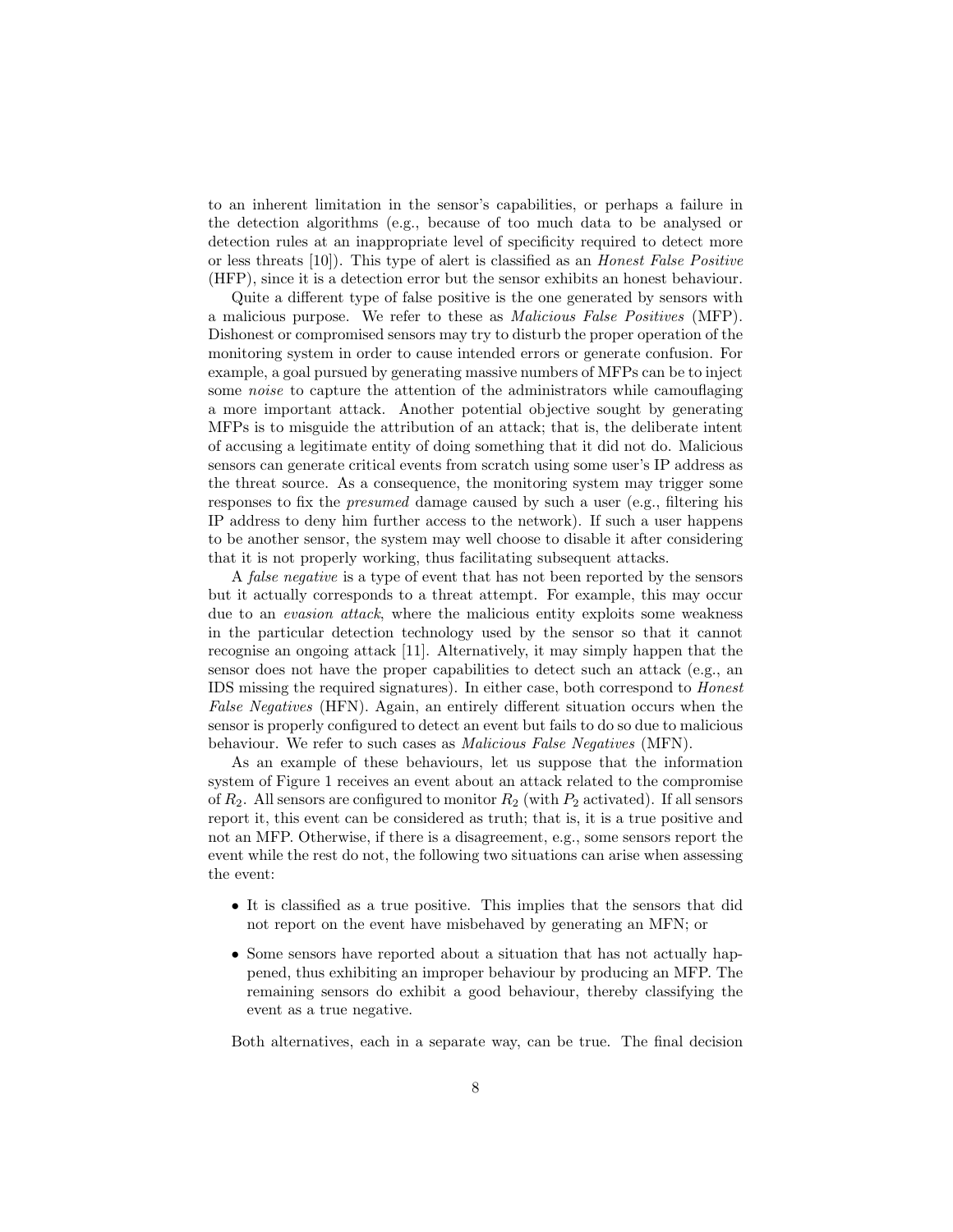to an inherent limitation in the sensor's capabilities, or perhaps a failure in the detection algorithms (e.g., because of too much data to be analysed or detection rules at an inappropriate level of specificity required to detect more or less threats [10]). This type of alert is classified as an *Honest False Positive* (HFP), since it is a detection error but the sensor exhibits an honest behaviour.

Quite a different type of false positive is the one generated by sensors with a malicious purpose. We refer to these as *Malicious False Positives* (MFP). Dishonest or compromised sensors may try to disturb the proper operation of the monitoring system in order to cause intended errors or generate confusion. For example, a goal pursued by generating massive numbers of MFPs can be to inject some *noise* to capture the attention of the administrators while camouflaging a more important attack. Another potential objective sought by generating MFPs is to misguide the attribution of an attack; that is, the deliberate intent of accusing a legitimate entity of doing something that it did not do. Malicious sensors can generate critical events from scratch using some user's IP address as the threat source. As a consequence, the monitoring system may trigger some responses to fix the *presumed* damage caused by such a user (e.g., filtering his IP address to deny him further access to the network). If such a user happens to be another sensor, the system may well choose to disable it after considering that it is not properly working, thus facilitating subsequent attacks.

A *false negative* is a type of event that has not been reported by the sensors but it actually corresponds to a threat attempt. For example, this may occur due to an *evasion attack*, where the malicious entity exploits some weakness in the particular detection technology used by the sensor so that it cannot recognise an ongoing attack [11]. Alternatively, it may simply happen that the sensor does not have the proper capabilities to detect such an attack (e.g., an IDS missing the required signatures). In either case, both correspond to *Honest False Negatives* (HFN). Again, an entirely different situation occurs when the sensor is properly configured to detect an event but fails to do so due to malicious behaviour. We refer to such cases as *Malicious False Negatives* (MFN).

As an example of these behaviours, let us suppose that the information system of Figure 1 receives an event about an attack related to the compromise of  $R_2$ . All sensors are configured to monitor  $R_2$  (with  $P_2$  activated). If all sensors report it, this event can be considered as truth; that is, it is a true positive and not an MFP. Otherwise, if there is a disagreement, e.g., some sensors report the event while the rest do not, the following two situations can arise when assessing the event:

- It is classified as a true positive. This implies that the sensors that did not report on the event have misbehaved by generating an MFN; or
- Some sensors have reported about a situation that has not actually happened, thus exhibiting an improper behaviour by producing an MFP. The remaining sensors do exhibit a good behaviour, thereby classifying the event as a true negative.

Both alternatives, each in a separate way, can be true. The final decision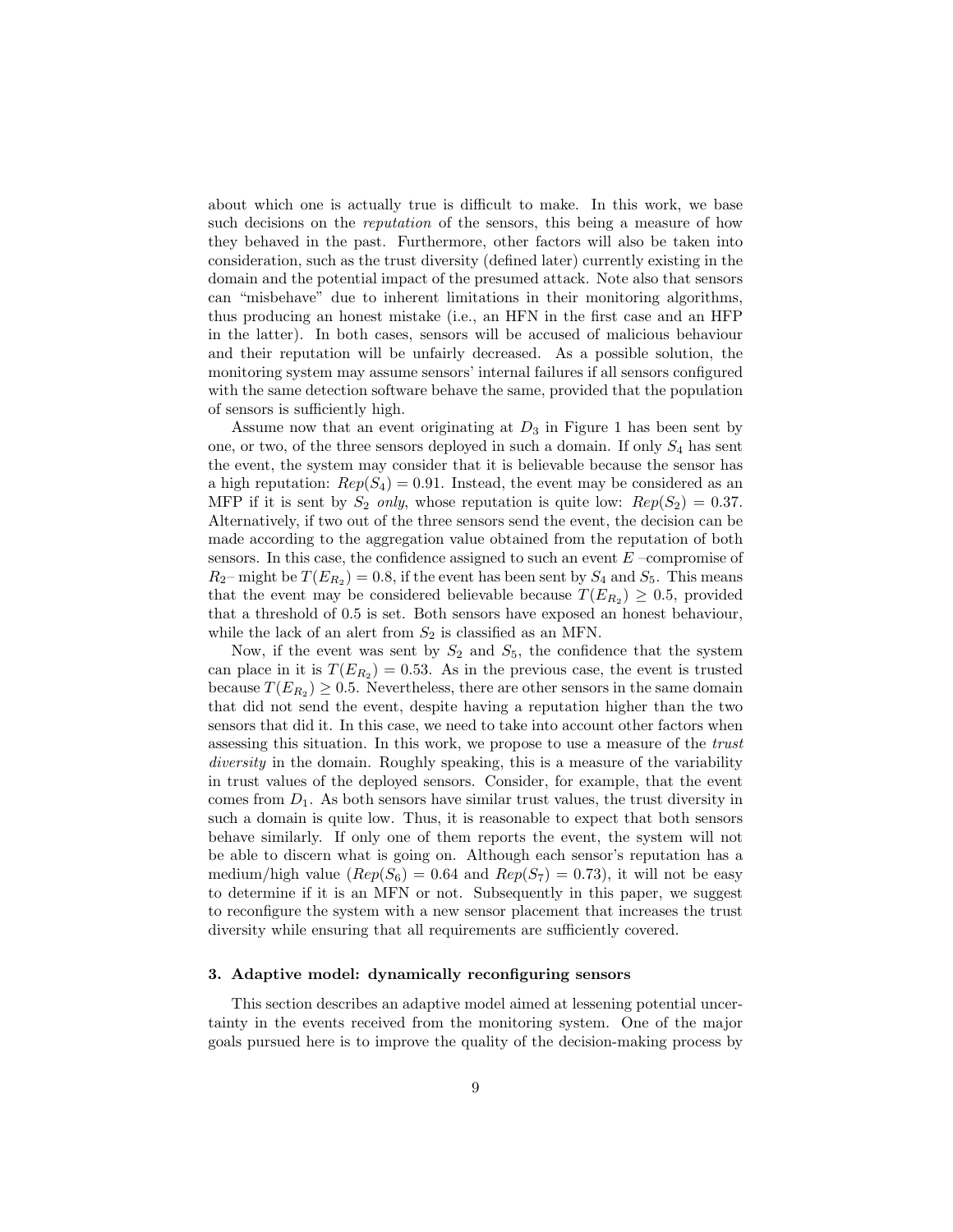about which one is actually true is difficult to make. In this work, we base such decisions on the *reputation* of the sensors, this being a measure of how they behaved in the past. Furthermore, other factors will also be taken into consideration, such as the trust diversity (defined later) currently existing in the domain and the potential impact of the presumed attack. Note also that sensors can "misbehave" due to inherent limitations in their monitoring algorithms, thus producing an honest mistake (i.e., an HFN in the first case and an HFP in the latter). In both cases, sensors will be accused of malicious behaviour and their reputation will be unfairly decreased. As a possible solution, the monitoring system may assume sensors' internal failures if all sensors configured with the same detection software behave the same, provided that the population of sensors is sufficiently high.

Assume now that an event originating at  $D_3$  in Figure 1 has been sent by one, or two, of the three sensors deployed in such a domain. If only  $S_4$  has sent the event, the system may consider that it is believable because the sensor has a high reputation:  $Rep(S_4) = 0.91$ . Instead, the event may be considered as an MFP if it is sent by  $S_2$  *only*, whose reputation is quite low:  $Rep(S_2) = 0.37$ . Alternatively, if two out of the three sensors send the event, the decision can be made according to the aggregation value obtained from the reputation of both sensors. In this case, the confidence assigned to such an event  $E$  –compromise of  $R_2$ – might be  $T(E_{R_2}) = 0.8$ , if the event has been sent by  $S_4$  and  $S_5$ . This means that the event may be considered believable because  $T(E_{R_2}) \geq 0.5$ , provided that a threshold of 0.5 is set. Both sensors have exposed an honest behaviour, while the lack of an alert from  $S_2$  is classified as an MFN.

Now, if the event was sent by  $S_2$  and  $S_5$ , the confidence that the system can place in it is  $T(E_{R_2}) = 0.53$ . As in the previous case, the event is trusted because  $T(E_{R_2}) \geq 0.5$ . Nevertheless, there are other sensors in the same domain that did not send the event, despite having a reputation higher than the two sensors that did it. In this case, we need to take into account other factors when assessing this situation. In this work, we propose to use a measure of the *trust diversity* in the domain. Roughly speaking, this is a measure of the variability in trust values of the deployed sensors. Consider, for example, that the event comes from  $D_1$ . As both sensors have similar trust values, the trust diversity in such a domain is quite low. Thus, it is reasonable to expect that both sensors behave similarly. If only one of them reports the event, the system will not be able to discern what is going on. Although each sensor's reputation has a medium/high value  $(Rep(S_6) = 0.64$  and  $Rep(S_7) = 0.73)$ , it will not be easy to determine if it is an MFN or not. Subsequently in this paper, we suggest to reconfigure the system with a new sensor placement that increases the trust diversity while ensuring that all requirements are sufficiently covered.

# 3. Adaptive model: dynamically reconfiguring sensors

This section describes an adaptive model aimed at lessening potential uncertainty in the events received from the monitoring system. One of the major goals pursued here is to improve the quality of the decision-making process by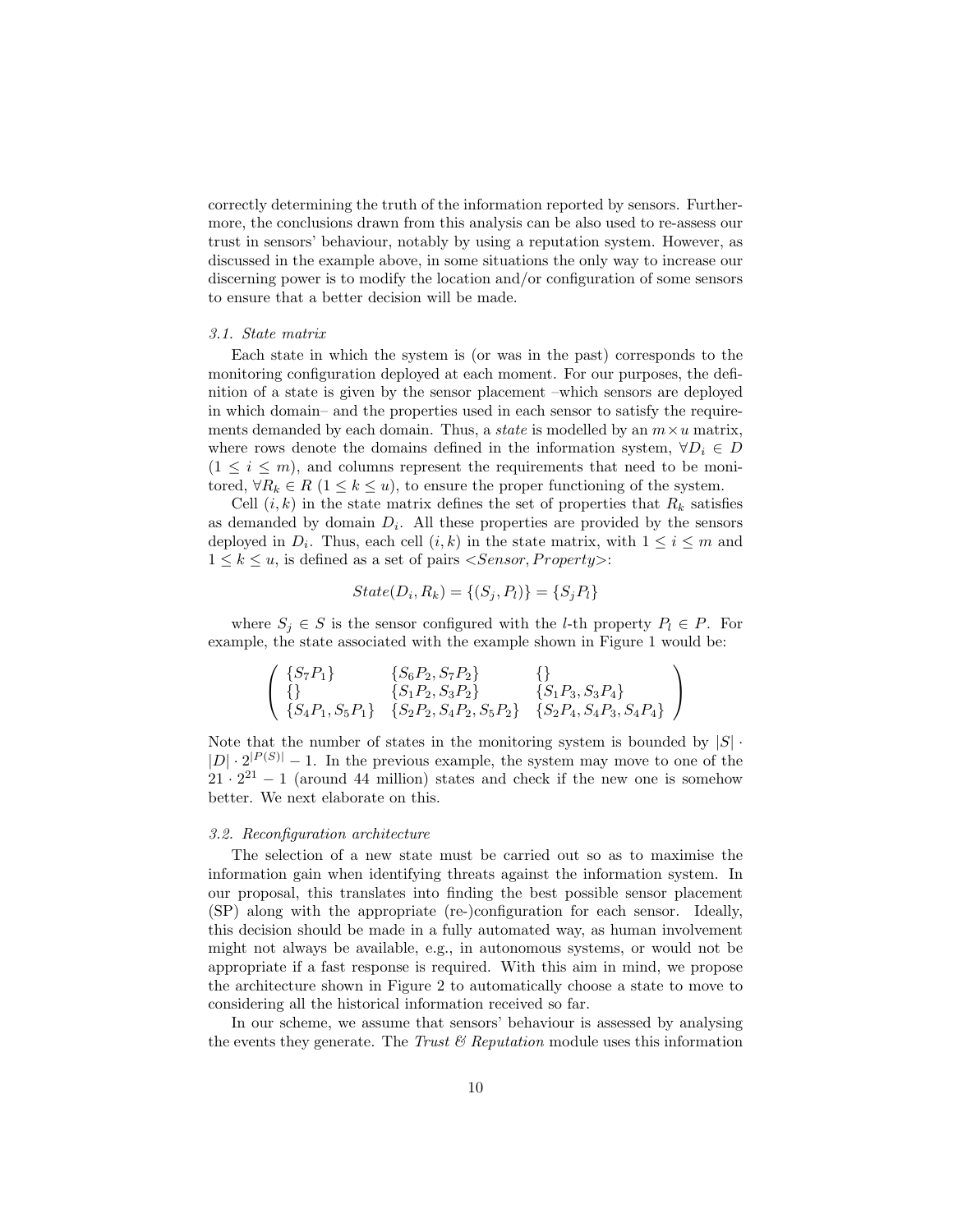correctly determining the truth of the information reported by sensors. Furthermore, the conclusions drawn from this analysis can be also used to re-assess our trust in sensors' behaviour, notably by using a reputation system. However, as discussed in the example above, in some situations the only way to increase our discerning power is to modify the location and/or configuration of some sensors to ensure that a better decision will be made.

#### *3.1. State matrix*

Each state in which the system is (or was in the past) corresponds to the monitoring configuration deployed at each moment. For our purposes, the definition of a state is given by the sensor placement –which sensors are deployed in which domain– and the properties used in each sensor to satisfy the requirements demanded by each domain. Thus, a *state* is modelled by an  $m \times u$  matrix, where rows denote the domains defined in the information system,  $\forall D_i \in D$  $(1 \leq i \leq m)$ , and columns represent the requirements that need to be monitored,  $\forall R_k \in R \ (1 \leq k \leq u)$ , to ensure the proper functioning of the system.

Cell  $(i, k)$  in the state matrix defines the set of properties that  $R_k$  satisfies as demanded by domain  $D_i$ . All these properties are provided by the sensors deployed in  $D_i$ . Thus, each cell  $(i, k)$  in the state matrix, with  $1 \leq i \leq m$  and  $1 \leq k \leq u$ , is defined as a set of pairs  $\leq$  *Sensor, Property* $>$ :

$$
State(D_i, R_k) = \{(S_j, P_l)\} = \{S_j P_l\}
$$

where  $S_j \in S$  is the sensor configured with the *l*-th property  $P_l \in P$ . For example, the state associated with the example shown in Figure 1 would be:

$$
\left(\begin{array}{cc} \{S_7P_1\} & \{S_6P_2, S_7P_2\} \\ \{\}\ & \{S_1P_2, S_3P_2\} & \{S_1P_3, S_3P_4\} \\ \{S_4P_1, S_5P_1\} & \{S_2P_2, S_4P_2, S_5P_2\} & \{S_2P_4, S_4P_3, S_4P_4\} \end{array}\right)
$$

Note that the number of states in the monitoring system is bounded by  $|S|$ .  $|D| \cdot 2^{|P(S)|} - 1$ . In the previous example, the system may move to one of the  $21 \cdot 2^{21} - 1$  (around 44 million) states and check if the new one is somehow better. We next elaborate on this.

#### *3.2. Reconfiguration architecture*

The selection of a new state must be carried out so as to maximise the information gain when identifying threats against the information system. In our proposal, this translates into finding the best possible sensor placement (SP) along with the appropriate (re-)configuration for each sensor. Ideally, this decision should be made in a fully automated way, as human involvement might not always be available, e.g., in autonomous systems, or would not be appropriate if a fast response is required. With this aim in mind, we propose the architecture shown in Figure 2 to automatically choose a state to move to considering all the historical information received so far.

In our scheme, we assume that sensors' behaviour is assessed by analysing the events they generate. The *Trust & Reputation* module uses this information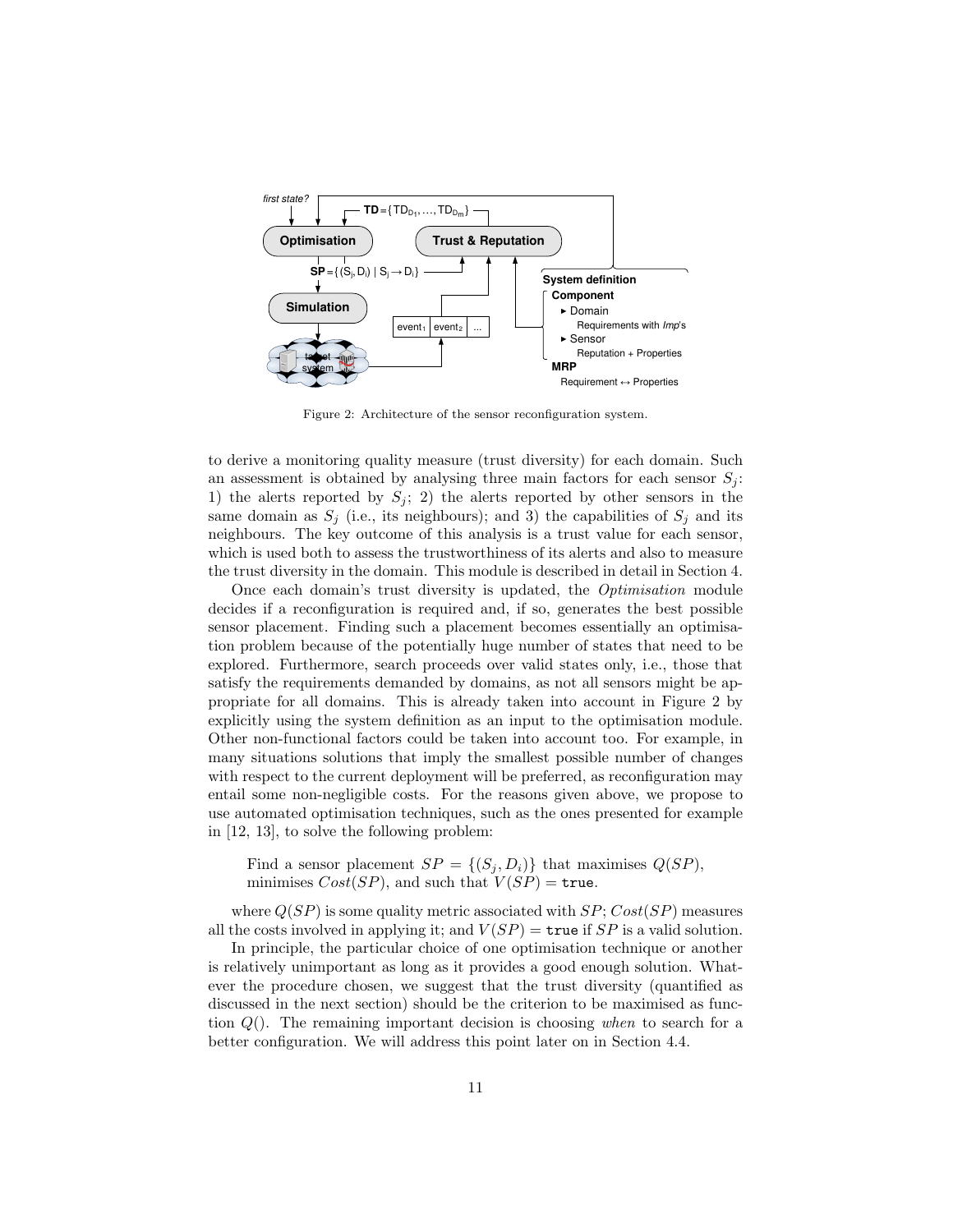

Figure 2: Architecture of the sensor reconfiguration system.

to derive a monitoring quality measure (trust diversity) for each domain. Such an assessment is obtained by analysing three main factors for each sensor  $S_i$ : 1) the alerts reported by  $S_i$ ; 2) the alerts reported by other sensors in the same domain as  $S_i$  (i.e., its neighbours); and 3) the capabilities of  $S_i$  and its neighbours. The key outcome of this analysis is a trust value for each sensor, which is used both to assess the trustworthiness of its alerts and also to measure the trust diversity in the domain. This module is described in detail in Section 4.

Once each domain's trust diversity is updated, the *Optimisation* module decides if a reconfiguration is required and, if so, generates the best possible sensor placement. Finding such a placement becomes essentially an optimisation problem because of the potentially huge number of states that need to be explored. Furthermore, search proceeds over valid states only, i.e., those that satisfy the requirements demanded by domains, as not all sensors might be appropriate for all domains. This is already taken into account in Figure 2 by explicitly using the system definition as an input to the optimisation module. Other non-functional factors could be taken into account too. For example, in many situations solutions that imply the smallest possible number of changes with respect to the current deployment will be preferred, as reconfiguration may entail some non-negligible costs. For the reasons given above, we propose to use automated optimisation techniques, such as the ones presented for example in [12, 13], to solve the following problem:

Find a sensor placement  $SP = \{(S_j, D_i)\}\)$  that maximises  $Q(SP)$ , minimises  $Cost(SP)$ , and such that  $V(SP) = \text{true}$ .

where  $Q(SP)$  is some quality metric associated with  $SP: Cost(SP)$  measures all the costs involved in applying it; and  $V(SP) = \text{true}$  if  $SP$  is a valid solution.

In principle, the particular choice of one optimisation technique or another is relatively unimportant as long as it provides a good enough solution. Whatever the procedure chosen, we suggest that the trust diversity (quantified as discussed in the next section) should be the criterion to be maximised as function Q(). The remaining important decision is choosing *when* to search for a better configuration. We will address this point later on in Section 4.4.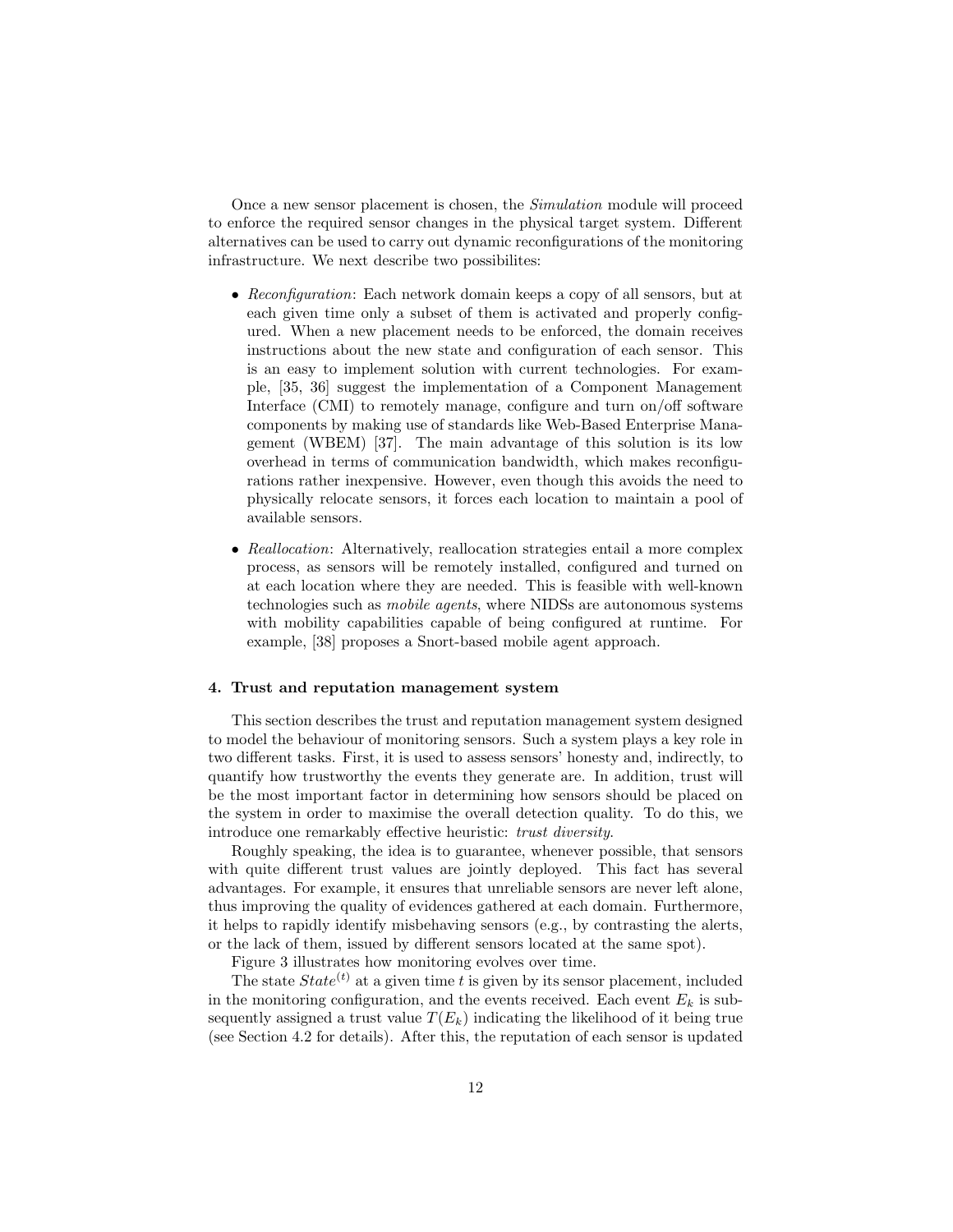Once a new sensor placement is chosen, the *Simulation* module will proceed to enforce the required sensor changes in the physical target system. Different alternatives can be used to carry out dynamic reconfigurations of the monitoring infrastructure. We next describe two possibilites:

- *Reconfiguration*: Each network domain keeps a copy of all sensors, but at each given time only a subset of them is activated and properly configured. When a new placement needs to be enforced, the domain receives instructions about the new state and configuration of each sensor. This is an easy to implement solution with current technologies. For example, [35, 36] suggest the implementation of a Component Management Interface (CMI) to remotely manage, configure and turn on/off software components by making use of standards like Web-Based Enterprise Management (WBEM) [37]. The main advantage of this solution is its low overhead in terms of communication bandwidth, which makes reconfigurations rather inexpensive. However, even though this avoids the need to physically relocate sensors, it forces each location to maintain a pool of available sensors.
- *Reallocation*: Alternatively, reallocation strategies entail a more complex process, as sensors will be remotely installed, configured and turned on at each location where they are needed. This is feasible with well-known technologies such as *mobile agents*, where NIDSs are autonomous systems with mobility capabilities capable of being configured at runtime. For example, [38] proposes a Snort-based mobile agent approach.

#### 4. Trust and reputation management system

This section describes the trust and reputation management system designed to model the behaviour of monitoring sensors. Such a system plays a key role in two different tasks. First, it is used to assess sensors' honesty and, indirectly, to quantify how trustworthy the events they generate are. In addition, trust will be the most important factor in determining how sensors should be placed on the system in order to maximise the overall detection quality. To do this, we introduce one remarkably effective heuristic: *trust diversity*.

Roughly speaking, the idea is to guarantee, whenever possible, that sensors with quite different trust values are jointly deployed. This fact has several advantages. For example, it ensures that unreliable sensors are never left alone, thus improving the quality of evidences gathered at each domain. Furthermore, it helps to rapidly identify misbehaving sensors (e.g., by contrasting the alerts, or the lack of them, issued by different sensors located at the same spot).

Figure 3 illustrates how monitoring evolves over time.

The state  $State^{(t)}$  at a given time t is given by its sensor placement, included in the monitoring configuration, and the events received. Each event  $E_k$  is subsequently assigned a trust value  $T(E_k)$  indicating the likelihood of it being true (see Section 4.2 for details). After this, the reputation of each sensor is updated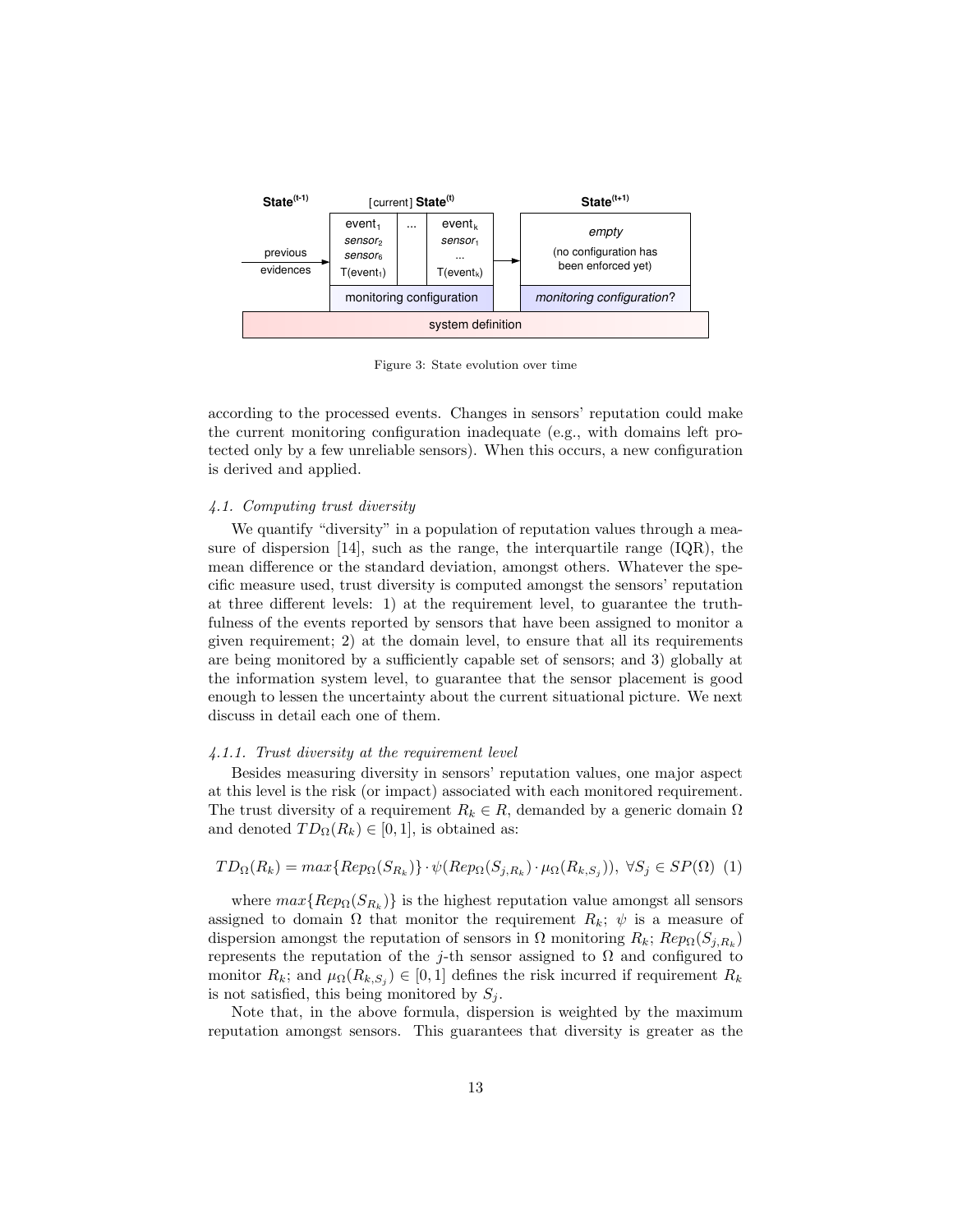

Figure 3: State evolution over time

according to the processed events. Changes in sensors' reputation could make the current monitoring configuration inadequate (e.g., with domains left protected only by a few unreliable sensors). When this occurs, a new configuration is derived and applied.

# *4.1. Computing trust diversity*

We quantify "diversity" in a population of reputation values through a measure of dispersion [14], such as the range, the interquartile range (IQR), the mean difference or the standard deviation, amongst others. Whatever the specific measure used, trust diversity is computed amongst the sensors' reputation at three different levels: 1) at the requirement level, to guarantee the truthfulness of the events reported by sensors that have been assigned to monitor a given requirement; 2) at the domain level, to ensure that all its requirements are being monitored by a sufficiently capable set of sensors; and 3) globally at the information system level, to guarantee that the sensor placement is good enough to lessen the uncertainty about the current situational picture. We next discuss in detail each one of them.

#### *4.1.1. Trust diversity at the requirement level*

Besides measuring diversity in sensors' reputation values, one major aspect at this level is the risk (or impact) associated with each monitored requirement. The trust diversity of a requirement  $R_k \in R$ , demanded by a generic domain  $\Omega$ and denoted  $TD_{\Omega}(R_k) \in [0,1]$ , is obtained as:

$$
TD_{\Omega}(R_k) = max\{Rep_{\Omega}(S_{R_k})\} \cdot \psi(Rep_{\Omega}(S_{j,R_k}) \cdot \mu_{\Omega}(R_{k,S_j})), \ \forall S_j \in SP(\Omega) \tag{1}
$$

where  $max\{Rep_{\Omega}(S_{R_k})\}$  is the highest reputation value amongst all sensors assigned to domain  $\Omega$  that monitor the requirement  $R_k$ ;  $\psi$  is a measure of dispersion amongst the reputation of sensors in  $\Omega$  monitoring  $R_k$ ;  $Rep_{\Omega}(S_{j,R_k})$ represents the reputation of the j-th sensor assigned to  $\Omega$  and configured to monitor  $R_k$ ; and  $\mu_{\Omega}(R_{k,S_j}) \in [0,1]$  defines the risk incurred if requirement  $R_k$ is not satisfied, this being monitored by  $S_i$ .

Note that, in the above formula, dispersion is weighted by the maximum reputation amongst sensors. This guarantees that diversity is greater as the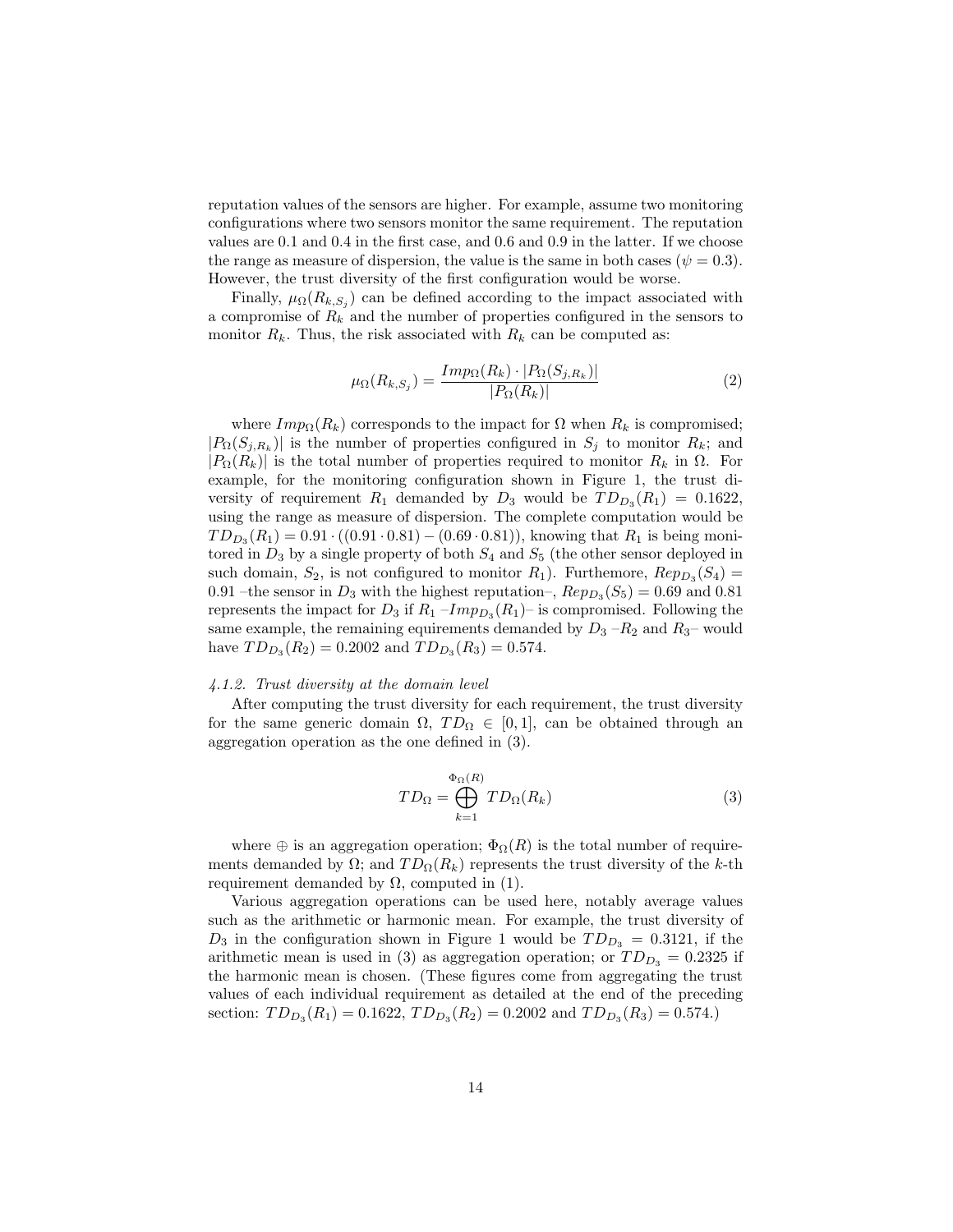reputation values of the sensors are higher. For example, assume two monitoring configurations where two sensors monitor the same requirement. The reputation values are 0.1 and 0.4 in the first case, and 0.6 and 0.9 in the latter. If we choose the range as measure of dispersion, the value is the same in both cases ( $\psi = 0.3$ ). However, the trust diversity of the first configuration would be worse.

Finally,  $\mu_{\Omega}(R_{k,S_j})$  can be defined according to the impact associated with a compromise of  $R_k$  and the number of properties configured in the sensors to monitor  $R_k$ . Thus, the risk associated with  $R_k$  can be computed as:

$$
\mu_{\Omega}(R_{k,S_j}) = \frac{Imp_{\Omega}(R_k) \cdot |P_{\Omega}(S_{j,R_k})|}{|P_{\Omega}(R_k)|} \tag{2}
$$

where  $Imp_{\Omega}(R_k)$  corresponds to the impact for  $\Omega$  when  $R_k$  is compromised;  $|P_{\Omega}(S_{j,R_k})|$  is the number of properties configured in  $S_j$  to monitor  $R_k$ ; and  $|P_{\Omega}(R_k)|$  is the total number of properties required to monitor  $R_k$  in  $\Omega$ . For example, for the monitoring configuration shown in Figure 1, the trust diversity of requirement  $R_1$  demanded by  $D_3$  would be  $TD_{D_3}(R_1) = 0.1622$ , using the range as measure of dispersion. The complete computation would be  $TD_{D_3}(R_1) = 0.91 \cdot ((0.91 \cdot 0.81) - (0.69 \cdot 0.81)),$  knowing that  $R_1$  is being monitored in  $D_3$  by a single property of both  $S_4$  and  $S_5$  (the other sensor deployed in such domain,  $S_2$ , is not configured to monitor  $R_1$ ). Furthemore,  $Rep_{D_3}(S_4)$  = 0.91 –the sensor in  $D_3$  with the highest reputation–,  $\mathbb{R}e p_{D_3}(S_5) = 0.69$  and 0.81 represents the impact for  $D_3$  if  $R_1 - Imp_{D_3}(R_1)$  is compromised. Following the same example, the remaining equirements demanded by  $D_3 - R_2$  and  $R_3$ – would have  $TD_{D_3}(R_2) = 0.2002$  and  $TD_{D_3}(R_3) = 0.574$ .

#### *4.1.2. Trust diversity at the domain level*

After computing the trust diversity for each requirement, the trust diversity for the same generic domain  $\Omega$ ,  $TD_{\Omega} \in [0,1]$ , can be obtained through an aggregation operation as the one defined in (3).

$$
TD_{\Omega} = \bigoplus_{k=1}^{\Phi_{\Omega}(R)} TD_{\Omega}(R_k)
$$
\n(3)

where  $\oplus$  is an aggregation operation;  $\Phi_{\Omega}(R)$  is the total number of requirements demanded by  $\Omega$ ; and  $TD_{\Omega}(R_k)$  represents the trust diversity of the k-th requirement demanded by  $Ω$ , computed in  $(1)$ .

Various aggregation operations can be used here, notably average values such as the arithmetic or harmonic mean. For example, the trust diversity of  $D_3$  in the configuration shown in Figure 1 would be  $TD_{D_3} = 0.3121$ , if the arithmetic mean is used in (3) as aggregation operation; or  $TD_{D_3} = 0.2325$  if the harmonic mean is chosen. (These figures come from aggregating the trust values of each individual requirement as detailed at the end of the preceding section:  $TD_{D_3}(R_1) = 0.1622, TD_{D_3}(R_2) = 0.2002$  and  $TD_{D_3}(R_3) = 0.574$ .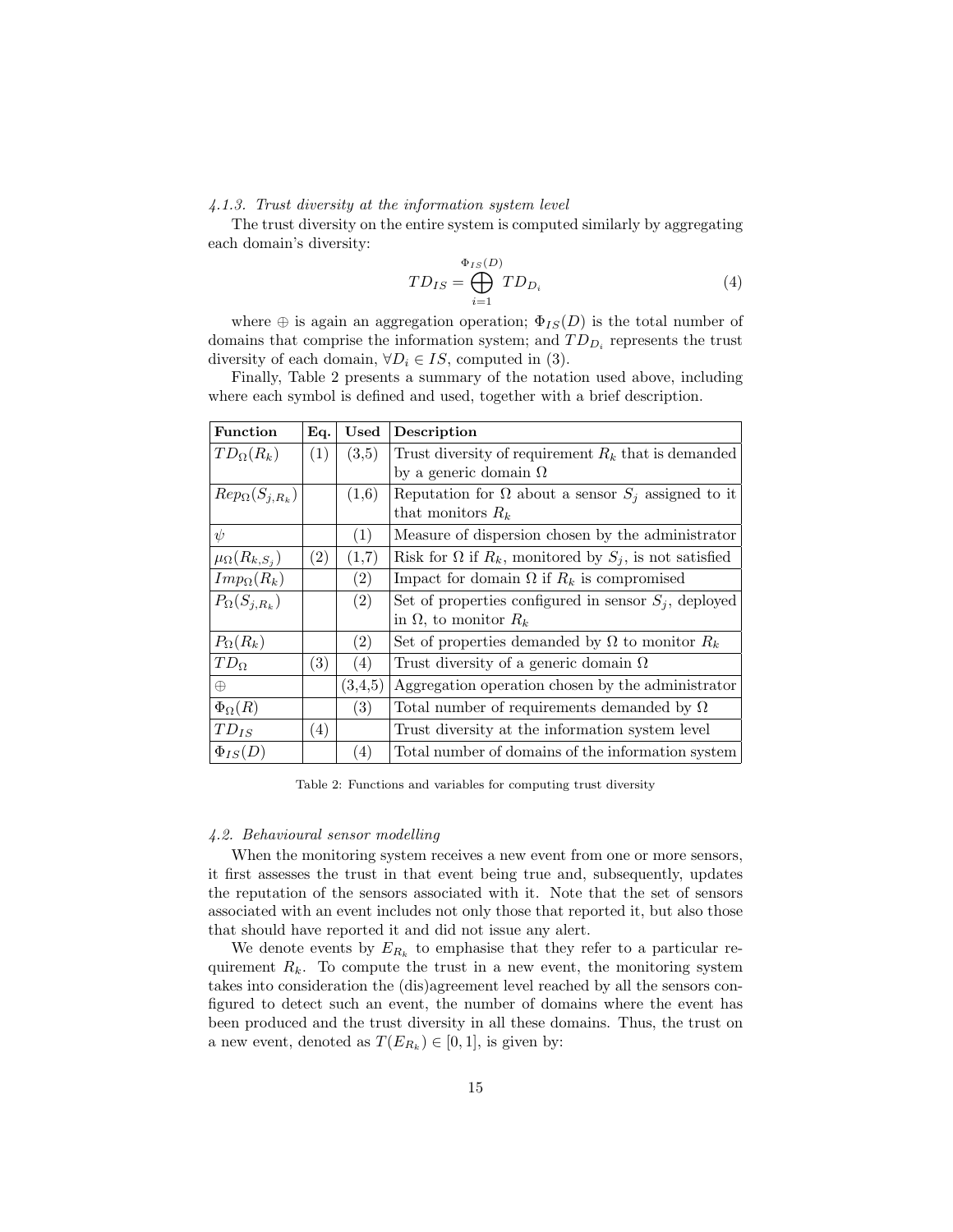#### *4.1.3. Trust diversity at the information system level*

The trust diversity on the entire system is computed similarly by aggregating each domain's diversity:

$$
TD_{IS} = \bigoplus_{i=1}^{\Phi_{IS}(D)} TD_{D_i}
$$
 (4)

where  $\oplus$  is again an aggregation operation;  $\Phi_{IS}(D)$  is the total number of domains that comprise the information system; and  $TD_{D_i}$  represents the trust diversity of each domain,  $\forall D_i \in IS$ , computed in (3).

Finally, Table 2 presents a summary of the notation used above, including where each symbol is defined and used, together with a brief description.

| <b>Function</b>           | Eq.               | Used              | Description                                                        |  |
|---------------------------|-------------------|-------------------|--------------------------------------------------------------------|--|
| $TD_{\Omega}(R_k)$        | (1)               | (3,5)             | Trust diversity of requirement $R_k$ that is demanded              |  |
|                           |                   |                   | by a generic domain $\Omega$                                       |  |
| $Rep_{\Omega}(S_{j,R_k})$ |                   | (1,6)             | Reputation for $\Omega$ about a sensor $S_i$ assigned to it        |  |
|                           |                   |                   | that monitors $R_k$                                                |  |
| $\psi$                    |                   | (1)               | Measure of dispersion chosen by the administrator                  |  |
| $\mu_{\Omega}(R_{k,S_i})$ | $\left( 2\right)$ | (1,7)             | Risk for $\Omega$ if $R_k$ , monitored by $S_j$ , is not satisfied |  |
| $Imp_{\Omega}(R_k)$       |                   | $\left( 2\right)$ | Impact for domain $\Omega$ if $R_k$ is compromised                 |  |
| $P_{\Omega}(S_{j,R_k})$   |                   | (2)               | Set of properties configured in sensor $S_i$ , deployed            |  |
|                           |                   |                   | in $\Omega$ , to monitor $R_k$                                     |  |
| $P_{\Omega}(R_k)$         |                   | $\left( 2\right)$ | Set of properties demanded by $\Omega$ to monitor $R_k$            |  |
| $TD_{\Omega}$             | $\left(3\right)$  | (4)               | Trust diversity of a generic domain $\Omega$                       |  |
| $\oplus$                  |                   | (3, 4, 5)         | Aggregation operation chosen by the administrator                  |  |
| $\Phi_{\Omega}(R)$        |                   | (3)               | Total number of requirements demanded by $\Omega$                  |  |
| $TD_{IS}$                 | (4)               |                   | Trust diversity at the information system level                    |  |
| $\Phi_{IS}(D)$            |                   | $\left( 4\right)$ | Total number of domains of the information system                  |  |

Table 2: Functions and variables for computing trust diversity

#### *4.2. Behavioural sensor modelling*

When the monitoring system receives a new event from one or more sensors, it first assesses the trust in that event being true and, subsequently, updates the reputation of the sensors associated with it. Note that the set of sensors associated with an event includes not only those that reported it, but also those that should have reported it and did not issue any alert.

We denote events by  $E_{R_k}$  to emphasise that they refer to a particular requirement  $R_k$ . To compute the trust in a new event, the monitoring system takes into consideration the (dis)agreement level reached by all the sensors configured to detect such an event, the number of domains where the event has been produced and the trust diversity in all these domains. Thus, the trust on a new event, denoted as  $T(E_{R_k}) \in [0,1]$ , is given by: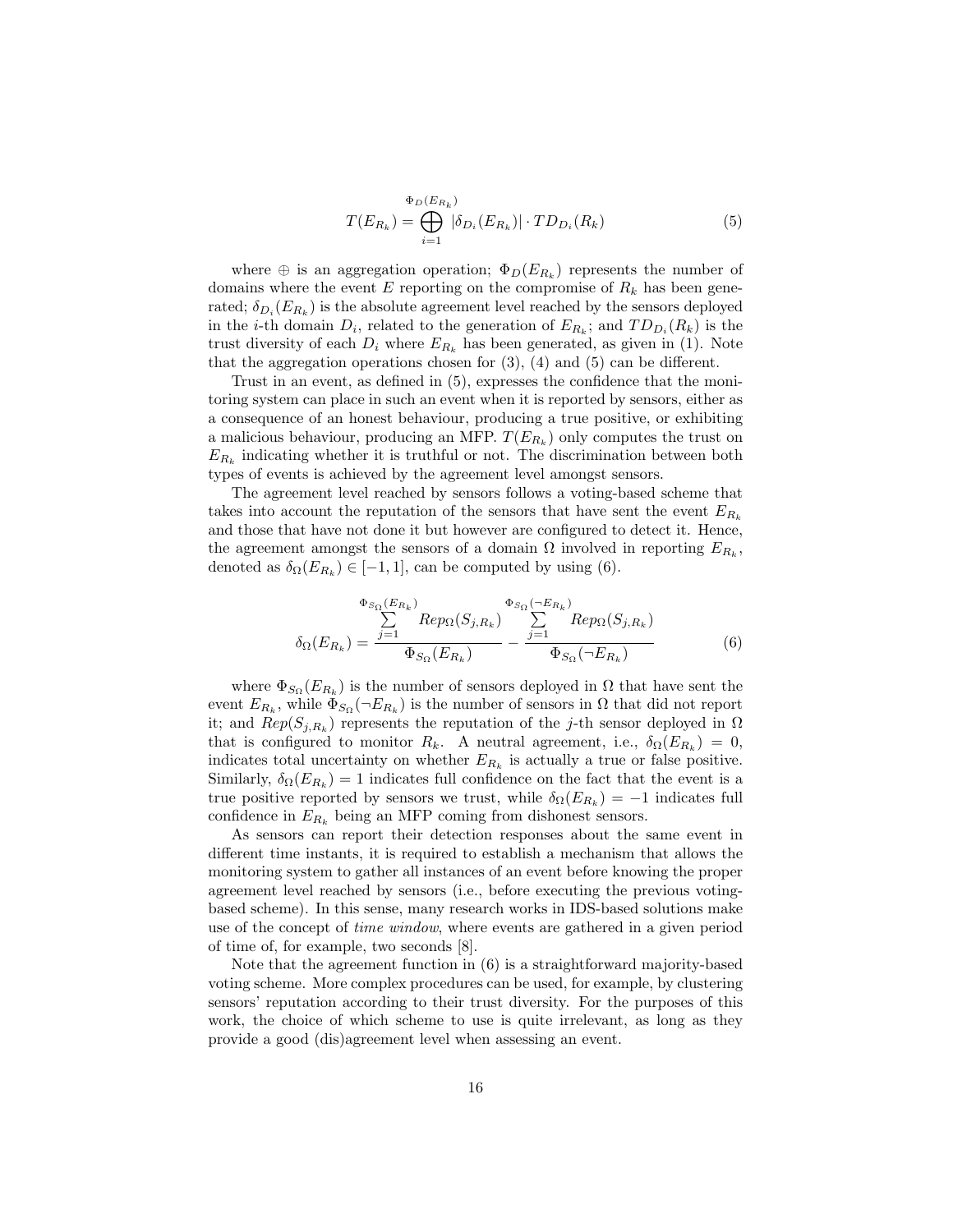$$
T(E_{R_k}) = \bigoplus_{i=1}^{\Phi_D(E_{R_k})} |\delta_{D_i}(E_{R_k})| \cdot TD_{D_i}(R_k)
$$
\n
$$
(5)
$$

where  $\oplus$  is an aggregation operation;  $\Phi_D(E_{R_k})$  represents the number of domains where the event E reporting on the compromise of  $R_k$  has been generated;  $\delta_{D_i}(E_{R_k})$  is the absolute agreement level reached by the sensors deployed in the *i*-th domain  $D_i$ , related to the generation of  $E_{R_k}$ ; and  $TD_{D_i}(R_k)$  is the trust diversity of each  $D_i$  where  $E_{R_k}$  has been generated, as given in (1). Note that the aggregation operations chosen for  $(3)$ ,  $(4)$  and  $(5)$  can be different.

Trust in an event, as defined in (5), expresses the confidence that the monitoring system can place in such an event when it is reported by sensors, either as a consequence of an honest behaviour, producing a true positive, or exhibiting a malicious behaviour, producing an MFP.  $T(E_{R_k})$  only computes the trust on  $E_{R_k}$  indicating whether it is truthful or not. The discrimination between both types of events is achieved by the agreement level amongst sensors.

The agreement level reached by sensors follows a voting-based scheme that takes into account the reputation of the sensors that have sent the event  $E_{R_k}$ and those that have not done it but however are configured to detect it. Hence, the agreement amongst the sensors of a domain  $\Omega$  involved in reporting  $E_{R_k}$ , denoted as  $\delta_{\Omega}(E_{R_k}) \in [-1,1]$ , can be computed by using (6).

$$
\delta_{\Omega}(E_{R_k}) = \frac{\sum_{j=1}^{\Phi_{S_{\Omega}}(E_{R_k})} Rep_{\Omega}(S_{j,R_k})}{\Phi_{S_{\Omega}}(E_{R_k})} - \frac{\sum_{j=1}^{\Phi_{S_{\Omega}}(\neg E_{R_k})} Rep_{\Omega}(S_{j,R_k})}{\Phi_{S_{\Omega}}(\neg E_{R_k})}
$$
(6)

where  $\Phi_{S_{\Omega}}(E_{R_k})$  is the number of sensors deployed in  $\Omega$  that have sent the event  $E_{R_k}$ , while  $\Phi_{S_{\Omega}}(\neg E_{R_k})$  is the number of sensors in  $\Omega$  that did not report it; and  $Rep(S_{j,R_k})$  represents the reputation of the j-th sensor deployed in  $\Omega$ that is configured to monitor  $R_k$ . A neutral agreement, i.e.,  $\delta_{\Omega}(E_{R_k}) = 0$ , indicates total uncertainty on whether  $E_{R_k}$  is actually a true or false positive. Similarly,  $\delta_{\Omega}(E_{R_k}) = 1$  indicates full confidence on the fact that the event is a true positive reported by sensors we trust, while  $\delta_{\Omega}(E_{R_k}) = -1$  indicates full confidence in  $E_{R_k}$  being an MFP coming from dishonest sensors.

As sensors can report their detection responses about the same event in different time instants, it is required to establish a mechanism that allows the monitoring system to gather all instances of an event before knowing the proper agreement level reached by sensors (i.e., before executing the previous votingbased scheme). In this sense, many research works in IDS-based solutions make use of the concept of *time window*, where events are gathered in a given period of time of, for example, two seconds [8].

Note that the agreement function in (6) is a straightforward majority-based voting scheme. More complex procedures can be used, for example, by clustering sensors' reputation according to their trust diversity. For the purposes of this work, the choice of which scheme to use is quite irrelevant, as long as they provide a good (dis)agreement level when assessing an event.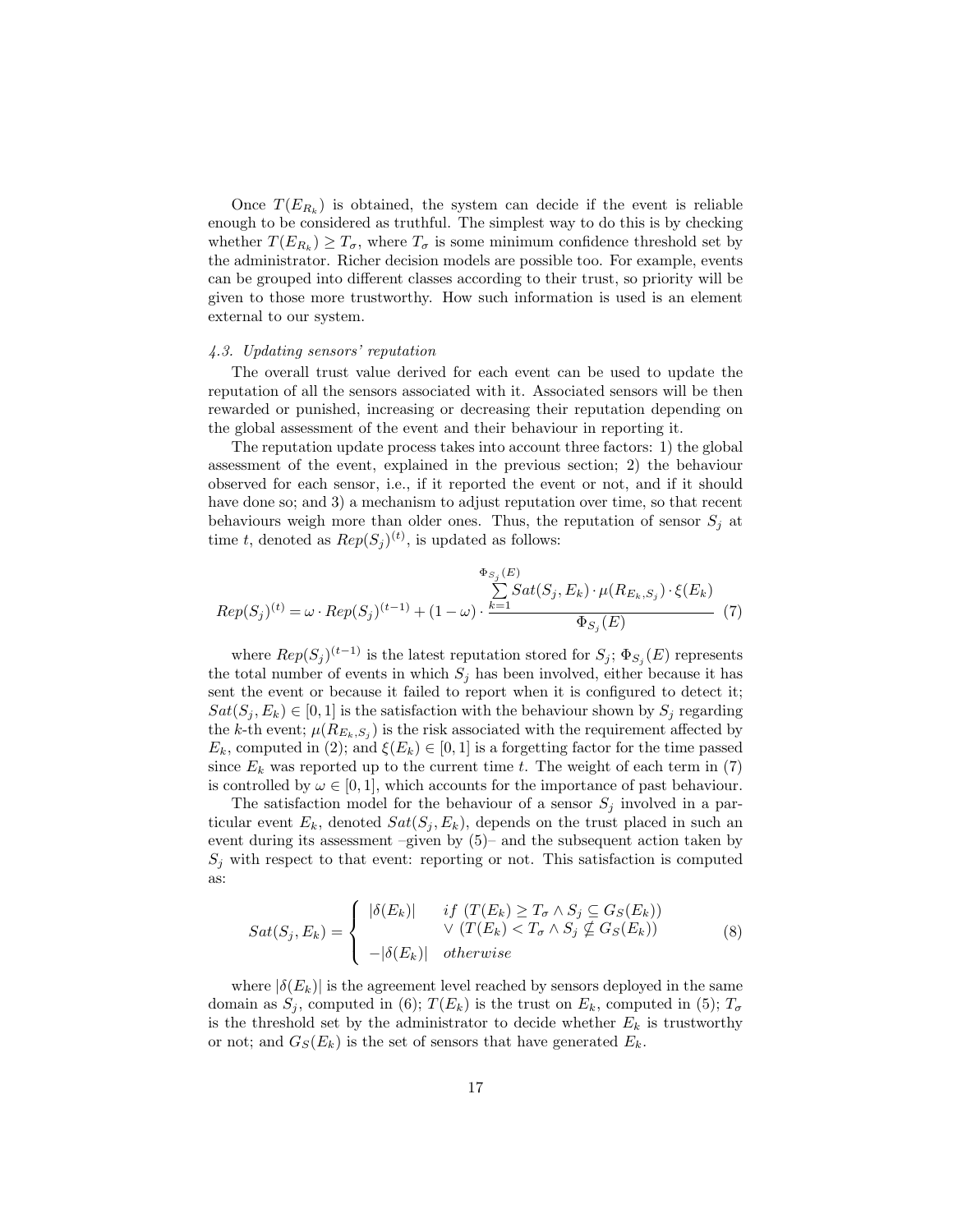Once  $T(E_{R_k})$  is obtained, the system can decide if the event is reliable enough to be considered as truthful. The simplest way to do this is by checking whether  $T(E_{R_k}) \geq T_{\sigma}$ , where  $T_{\sigma}$  is some minimum confidence threshold set by the administrator. Richer decision models are possible too. For example, events can be grouped into different classes according to their trust, so priority will be given to those more trustworthy. How such information is used is an element external to our system.

#### *4.3. Updating sensors' reputation*

The overall trust value derived for each event can be used to update the reputation of all the sensors associated with it. Associated sensors will be then rewarded or punished, increasing or decreasing their reputation depending on the global assessment of the event and their behaviour in reporting it.

The reputation update process takes into account three factors: 1) the global assessment of the event, explained in the previous section; 2) the behaviour observed for each sensor, i.e., if it reported the event or not, and if it should have done so; and 3) a mechanism to adjust reputation over time, so that recent behaviours weigh more than older ones. Thus, the reputation of sensor  $S_j$  at time t, denoted as  $Rep(S_j)^{(t)}$ , is updated as follows:

$$
Rep(S_j)^{(t)} = \omega \cdot Rep(S_j)^{(t-1)} + (1 - \omega) \cdot \frac{\sum_{k=1}^{\Phi_{S_j}(E)} Sat(S_j, E_k) \cdot \mu(R_{E_k, S_j}) \cdot \xi(E_k)}{\Phi_{S_j}(E)}
$$
(7)

where  $Rep(S_j)^{(t-1)}$  is the latest reputation stored for  $S_j$ ;  $\Phi_{S_j}(E)$  represents the total number of events in which  $S_j$  has been involved, either because it has sent the event or because it failed to report when it is configured to detect it;  $Sat(S_i, E_k) \in [0, 1]$  is the satisfaction with the behaviour shown by  $S_i$  regarding the k-th event;  $\mu(R_{E_k,S_j})$  is the risk associated with the requirement affected by  $E_k$ , computed in (2); and  $\xi(E_k) \in [0,1]$  is a forgetting factor for the time passed since  $E_k$  was reported up to the current time t. The weight of each term in (7) is controlled by  $\omega \in [0, 1]$ , which accounts for the importance of past behaviour.

The satisfaction model for the behaviour of a sensor  $S_j$  involved in a particular event  $E_k$ , denoted  $Sat(S_j, E_k)$ , depends on the trust placed in such an event during its assessment –given by (5)– and the subsequent action taken by  $S_j$  with respect to that event: reporting or not. This satisfaction is computed as:

$$
Sat(S_j, E_k) = \begin{cases} |\delta(E_k)| & \text{if } (T(E_k) \ge T_\sigma \land S_j \subseteq G_S(E_k)) \\ \lor (T(E_k) < T_\sigma \land S_j \nsubseteq G_S(E_k)) \\ -|\delta(E_k)| & \text{otherwise} \end{cases} \tag{8}
$$

where  $|\delta(E_k)|$  is the agreement level reached by sensors deployed in the same domain as  $S_i$ , computed in (6);  $T(E_k)$  is the trust on  $E_k$ , computed in (5);  $T_{\sigma}$ is the threshold set by the administrator to decide whether  $E_k$  is trustworthy or not; and  $G_S(E_k)$  is the set of sensors that have generated  $E_k$ .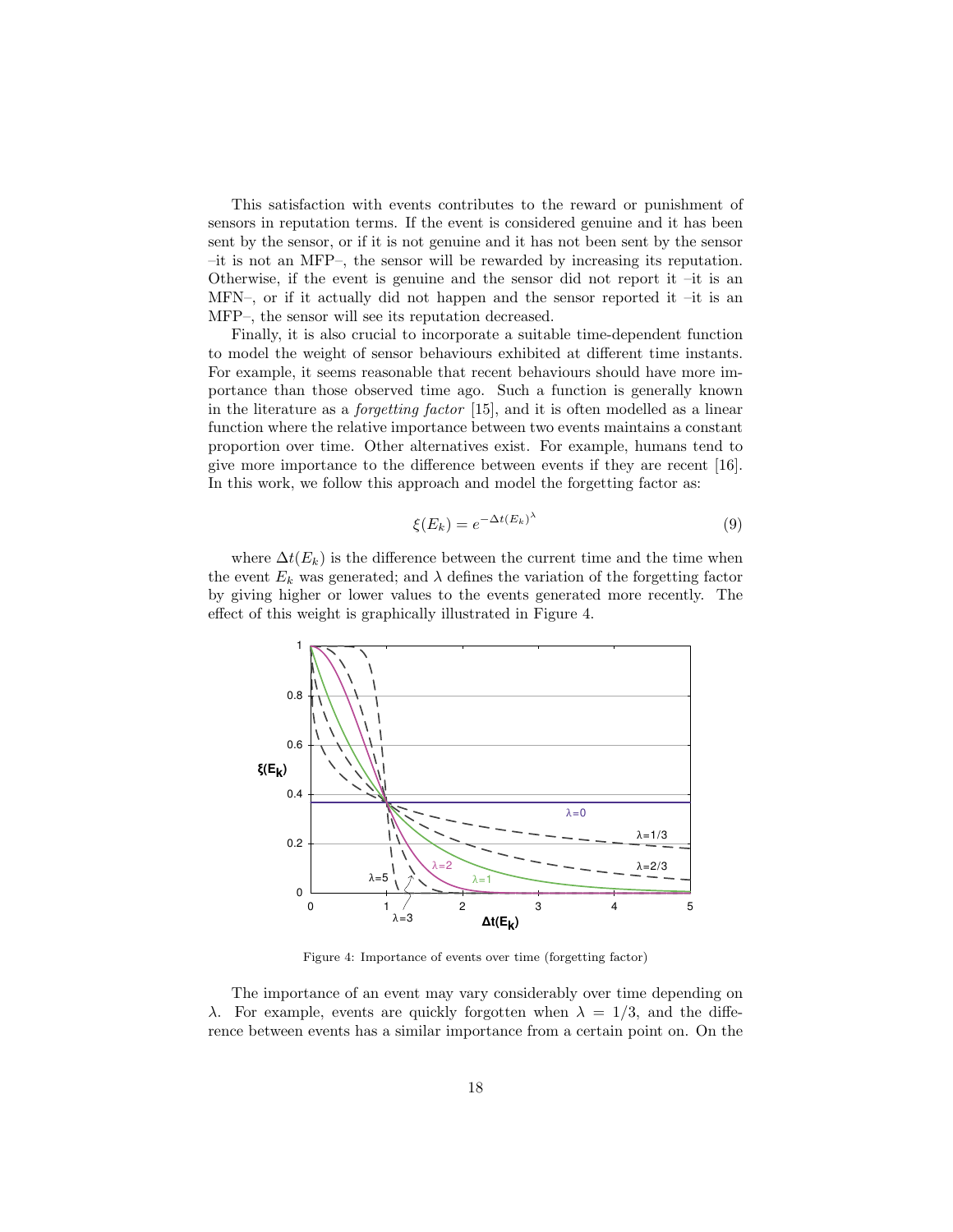This satisfaction with events contributes to the reward or punishment of sensors in reputation terms. If the event is considered genuine and it has been sent by the sensor, or if it is not genuine and it has not been sent by the sensor –it is not an MFP–, the sensor will be rewarded by increasing its reputation. Otherwise, if the event is genuine and the sensor did not report it –it is an MFN–, or if it actually did not happen and the sensor reported it –it is an MFP–, the sensor will see its reputation decreased.

Finally, it is also crucial to incorporate a suitable time-dependent function to model the weight of sensor behaviours exhibited at different time instants. For example, it seems reasonable that recent behaviours should have more importance than those observed time ago. Such a function is generally known in the literature as a *forgetting factor* [15], and it is often modelled as a linear function where the relative importance between two events maintains a constant proportion over time. Other alternatives exist. For example, humans tend to give more importance to the difference between events if they are recent [16]. In this work, we follow this approach and model the forgetting factor as:

$$
\xi(E_k) = e^{-\Delta t (E_k)^{\lambda}} \tag{9}
$$

where  $\Delta t(E_k)$  is the difference between the current time and the time when the event  $E_k$  was generated; and  $\lambda$  defines the variation of the forgetting factor by giving higher or lower values to the events generated more recently. The effect of this weight is graphically illustrated in Figure 4.



Figure 4: Importance of events over time (forgetting factor)

The importance of an event may vary considerably over time depending on λ. For example, events are quickly forgotten when  $\lambda = 1/3$ , and the difference between events has a similar importance from a certain point on. On the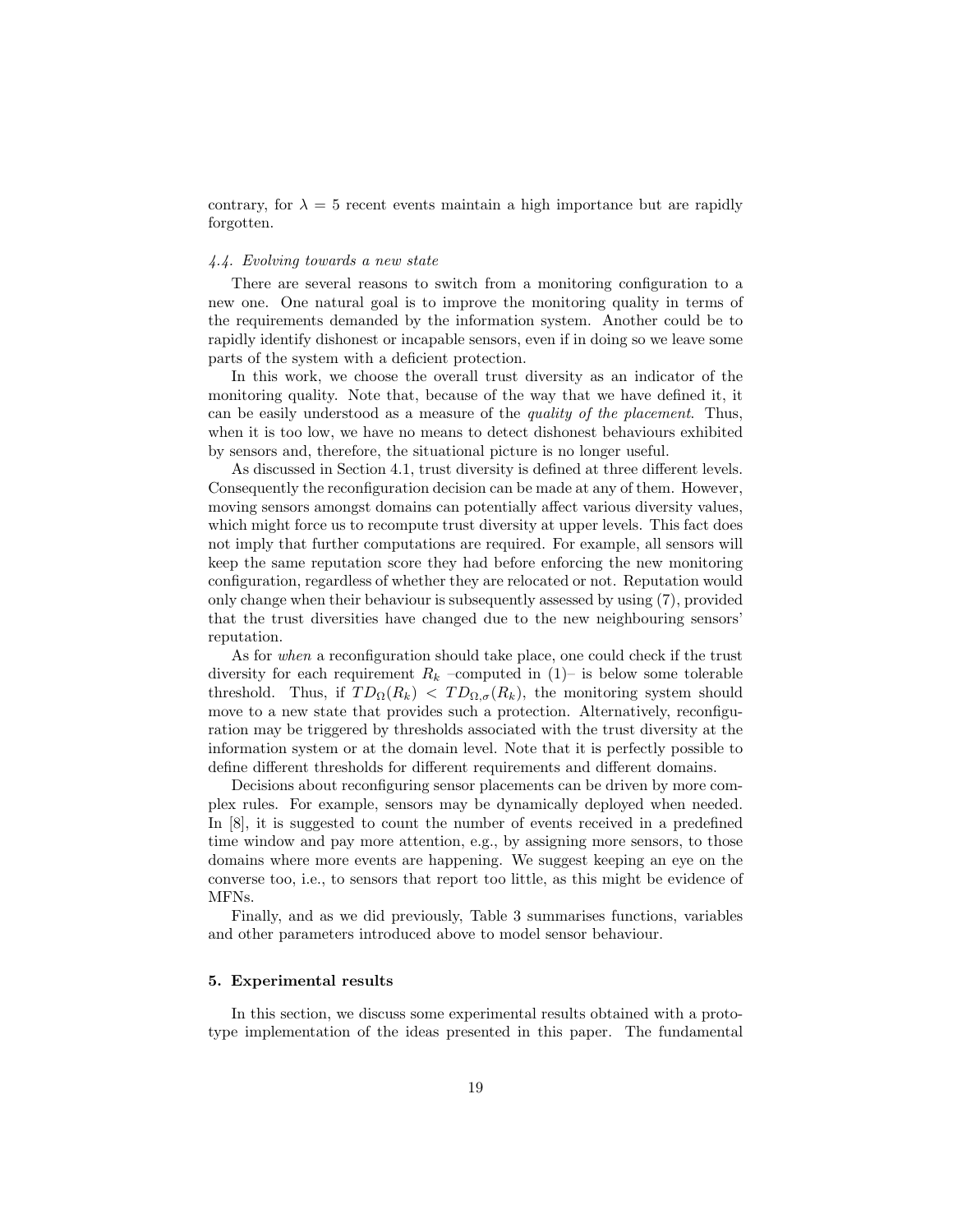contrary, for  $\lambda = 5$  recent events maintain a high importance but are rapidly forgotten.

#### *4.4. Evolving towards a new state*

There are several reasons to switch from a monitoring configuration to a new one. One natural goal is to improve the monitoring quality in terms of the requirements demanded by the information system. Another could be to rapidly identify dishonest or incapable sensors, even if in doing so we leave some parts of the system with a deficient protection.

In this work, we choose the overall trust diversity as an indicator of the monitoring quality. Note that, because of the way that we have defined it, it can be easily understood as a measure of the *quality of the placement*. Thus, when it is too low, we have no means to detect dishonest behaviours exhibited by sensors and, therefore, the situational picture is no longer useful.

As discussed in Section 4.1, trust diversity is defined at three different levels. Consequently the reconfiguration decision can be made at any of them. However, moving sensors amongst domains can potentially affect various diversity values, which might force us to recompute trust diversity at upper levels. This fact does not imply that further computations are required. For example, all sensors will keep the same reputation score they had before enforcing the new monitoring configuration, regardless of whether they are relocated or not. Reputation would only change when their behaviour is subsequently assessed by using (7), provided that the trust diversities have changed due to the new neighbouring sensors' reputation.

As for *when* a reconfiguration should take place, one could check if the trust diversity for each requirement  $R_k$  –computed in (1)– is below some tolerable threshold. Thus, if  $TD_{\Omega}(R_k) < TD_{\Omega,\sigma}(R_k)$ , the monitoring system should move to a new state that provides such a protection. Alternatively, reconfiguration may be triggered by thresholds associated with the trust diversity at the information system or at the domain level. Note that it is perfectly possible to define different thresholds for different requirements and different domains.

Decisions about reconfiguring sensor placements can be driven by more complex rules. For example, sensors may be dynamically deployed when needed. In [8], it is suggested to count the number of events received in a predefined time window and pay more attention, e.g., by assigning more sensors, to those domains where more events are happening. We suggest keeping an eye on the converse too, i.e., to sensors that report too little, as this might be evidence of MFNs.

Finally, and as we did previously, Table 3 summarises functions, variables and other parameters introduced above to model sensor behaviour.

#### 5. Experimental results

In this section, we discuss some experimental results obtained with a prototype implementation of the ideas presented in this paper. The fundamental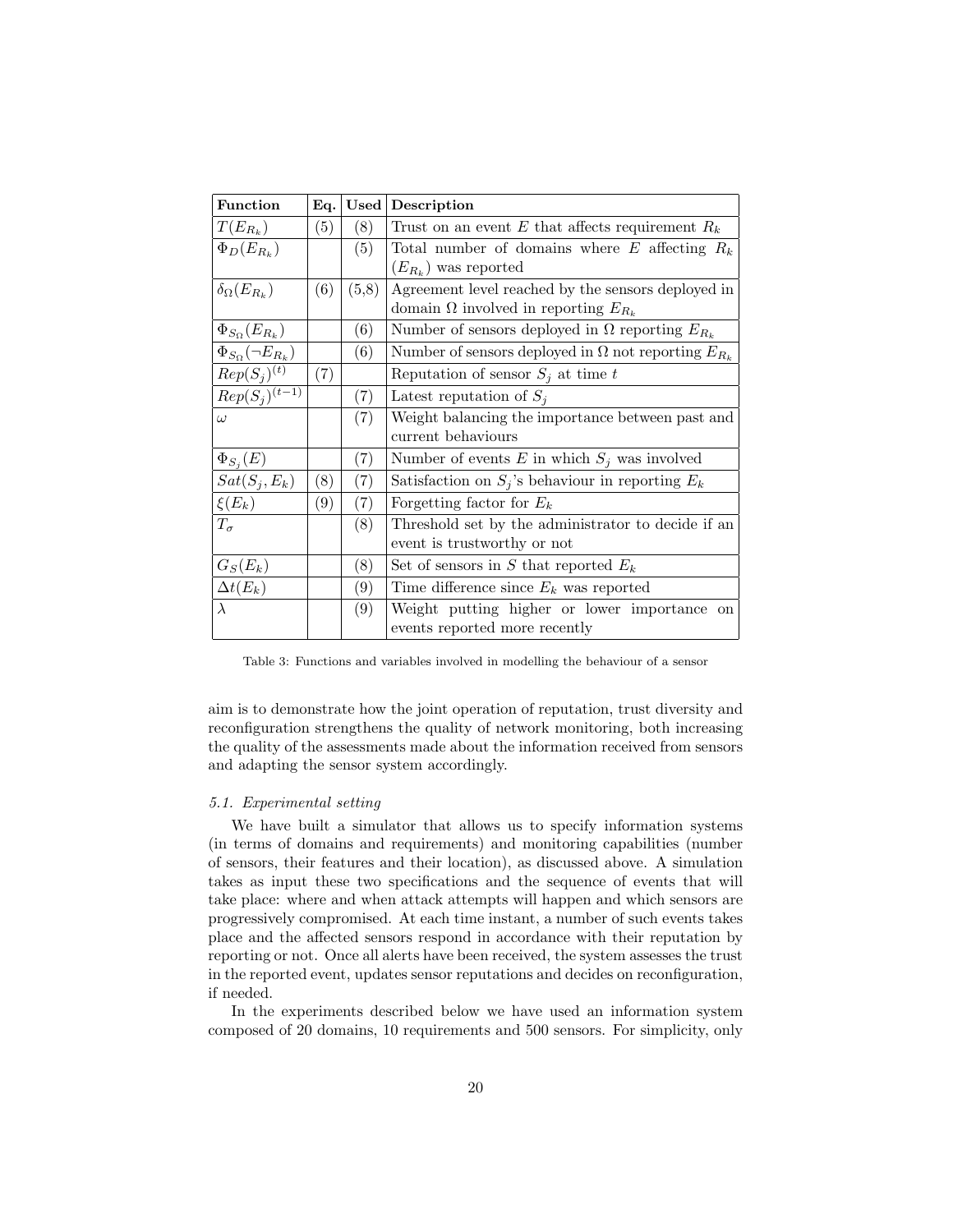| <b>Function</b>                   | Eq. |       | Used Description                                                                            |  |  |
|-----------------------------------|-----|-------|---------------------------------------------------------------------------------------------|--|--|
| $T(E_{R_k})$                      | (5) | (8)   | Trust on an event E that affects requirement $R_k$                                          |  |  |
| $\Phi_D(E_{R_k})$                 |     | (5)   | Total number of domains where E affecting $R_k$                                             |  |  |
|                                   |     |       | $(E_{R_k})$ was reported                                                                    |  |  |
| $\delta_{\Omega}(E_{R_k})$        | (6) | (5,8) | Agreement level reached by the sensors deployed in                                          |  |  |
|                                   |     |       | domain $\Omega$ involved in reporting $E_{R_k}$                                             |  |  |
| $\Phi_{S_{\Omega}}(E_{R_k})$      |     | (6)   | Number of sensors deployed in $\Omega$ reporting $E_{R_k}$                                  |  |  |
| $\Phi_{S_{\Omega}}(\neg E_{R_k})$ |     | (6)   | Number of sensors deployed in $\Omega$ not reporting $E_{R_k}$                              |  |  |
| $Rep(S_i)^{(t)}$                  | (7) |       | Reputation of sensor $S_j$ at time t                                                        |  |  |
| $Rep(S_i)^{(t-1)}$                |     | (7)   | Latest reputation of $S_i$                                                                  |  |  |
| $\omega$                          |     | (7)   | Weight balancing the importance between past and                                            |  |  |
|                                   |     |       | current behaviours                                                                          |  |  |
| $\Phi_{S_i}(E)$                   |     | (7)   | Number of events E in which $S_j$ was involved                                              |  |  |
| $Sat(S_j, E_k)$                   | (8) | (7)   | Satisfaction on $S_i$ 's behaviour in reporting $E_k$                                       |  |  |
| $\xi(E_k)$                        | (9) | (7)   | Forgetting factor for $E_k$                                                                 |  |  |
| $T_{\sigma}$                      |     | (8)   | Threshold set by the administrator to decide if an                                          |  |  |
|                                   |     |       | event is trustworthy or not                                                                 |  |  |
| $G_S(E_k)$                        |     | (8)   | Set of sensors in S that reported $E_k$                                                     |  |  |
| $\Delta t(E_k)$                   |     | (9)   | Time difference since $E_k$ was reported                                                    |  |  |
| $\lambda$                         |     | (9)   | Weight putting higher or lower importance<br><sub>on</sub><br>events reported more recently |  |  |

Table 3: Functions and variables involved in modelling the behaviour of a sensor

aim is to demonstrate how the joint operation of reputation, trust diversity and reconfiguration strengthens the quality of network monitoring, both increasing the quality of the assessments made about the information received from sensors and adapting the sensor system accordingly.

# *5.1. Experimental setting*

We have built a simulator that allows us to specify information systems (in terms of domains and requirements) and monitoring capabilities (number of sensors, their features and their location), as discussed above. A simulation takes as input these two specifications and the sequence of events that will take place: where and when attack attempts will happen and which sensors are progressively compromised. At each time instant, a number of such events takes place and the affected sensors respond in accordance with their reputation by reporting or not. Once all alerts have been received, the system assesses the trust in the reported event, updates sensor reputations and decides on reconfiguration, if needed.

In the experiments described below we have used an information system composed of 20 domains, 10 requirements and 500 sensors. For simplicity, only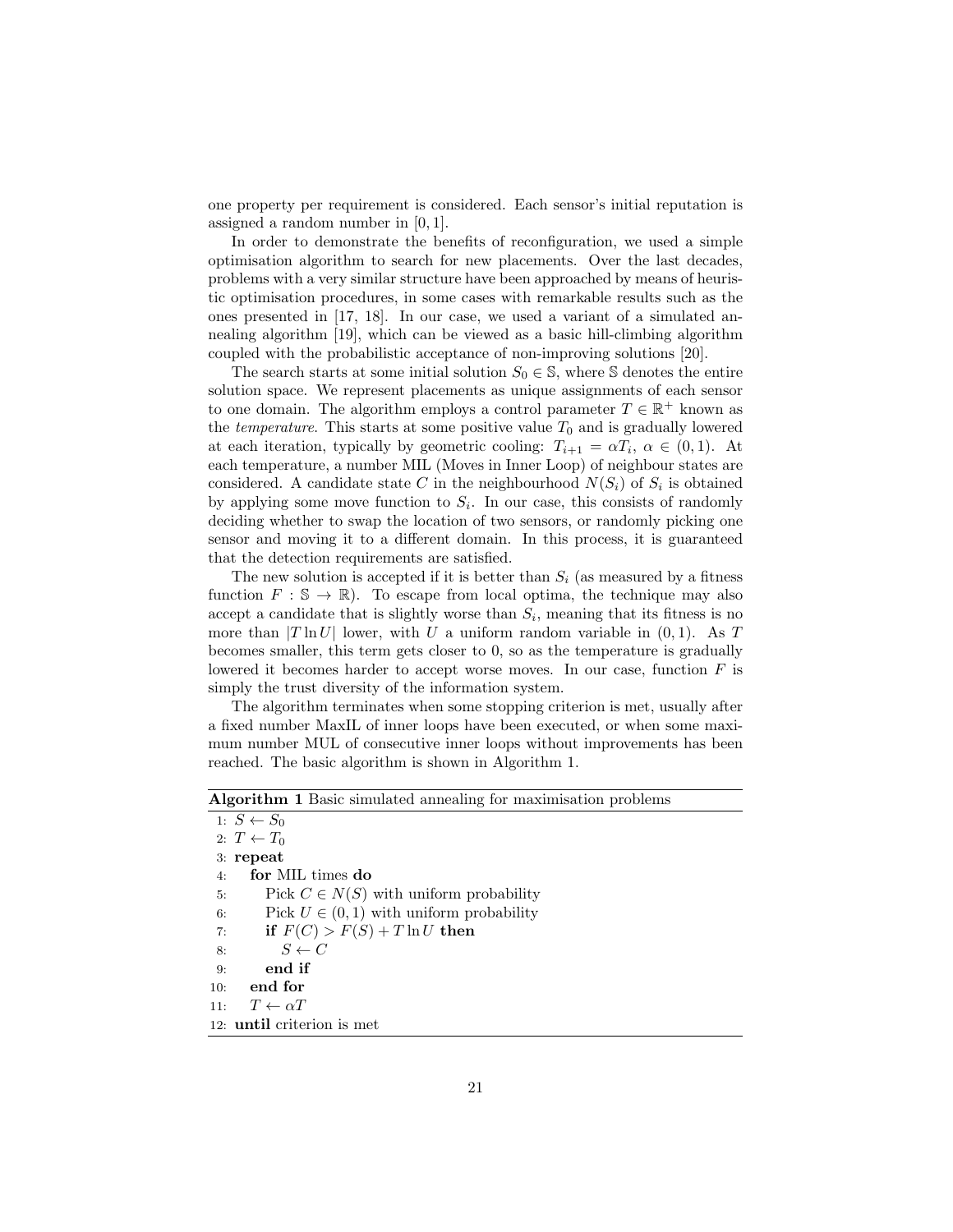one property per requirement is considered. Each sensor's initial reputation is assigned a random number in [0, 1].

In order to demonstrate the benefits of reconfiguration, we used a simple optimisation algorithm to search for new placements. Over the last decades, problems with a very similar structure have been approached by means of heuristic optimisation procedures, in some cases with remarkable results such as the ones presented in [17, 18]. In our case, we used a variant of a simulated annealing algorithm [19], which can be viewed as a basic hill-climbing algorithm coupled with the probabilistic acceptance of non-improving solutions [20].

The search starts at some initial solution  $S_0 \in \mathbb{S}$ , where S denotes the entire solution space. We represent placements as unique assignments of each sensor to one domain. The algorithm employs a control parameter  $T \in \mathbb{R}^+$  known as the *temperature*. This starts at some positive value  $T_0$  and is gradually lowered at each iteration, typically by geometric cooling:  $T_{i+1} = \alpha T_i, \alpha \in (0,1)$ . At each temperature, a number MIL (Moves in Inner Loop) of neighbour states are considered. A candidate state C in the neighbourhood  $N(S_i)$  of  $S_i$  is obtained by applying some move function to  $S_i$ . In our case, this consists of randomly deciding whether to swap the location of two sensors, or randomly picking one sensor and moving it to a different domain. In this process, it is guaranteed that the detection requirements are satisfied.

The new solution is accepted if it is better than  $S_i$  (as measured by a fitness function  $F : \mathbb{S} \to \mathbb{R}$ . To escape from local optima, the technique may also accept a candidate that is slightly worse than  $S_i$ , meaning that its fitness is no more than  $|T \ln U|$  lower, with U a uniform random variable in  $(0, 1)$ . As T becomes smaller, this term gets closer to 0, so as the temperature is gradually lowered it becomes harder to accept worse moves. In our case, function  $F$  is simply the trust diversity of the information system.

The algorithm terminates when some stopping criterion is met, usually after a fixed number MaxIL of inner loops have been executed, or when some maximum number MUL of consecutive inner loops without improvements has been reached. The basic algorithm is shown in Algorithm 1.

#### Algorithm 1 Basic simulated annealing for maximisation problems

|    | 1: $S \leftarrow S_0$                       |
|----|---------------------------------------------|
|    | 2: $T \leftarrow T_0$                       |
|    | $3:$ repeat                                 |
| 4: | for MIL times do                            |
| 5: | Pick $C \in N(S)$ with uniform probability  |
| 6: | Pick $U \in (0,1)$ with uniform probability |
|    | 7: if $F(C) > F(S) + T \ln U$ then          |
| 8: | $S \leftarrow C$                            |
| 9: | end if                                      |
|    | $10:$ end for                               |
|    | 11: $T \leftarrow \alpha T$                 |

```
12: until criterion is met
```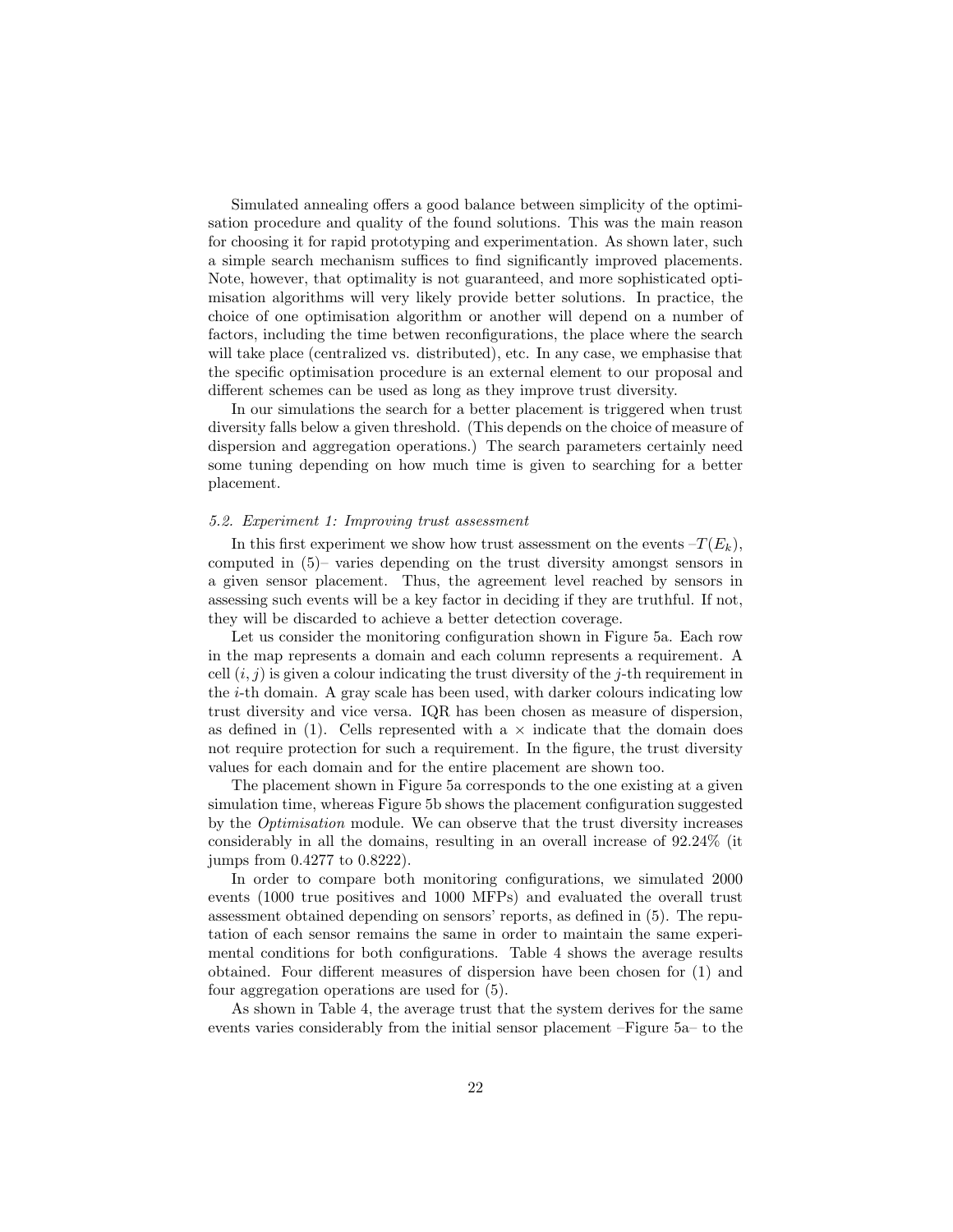Simulated annealing offers a good balance between simplicity of the optimisation procedure and quality of the found solutions. This was the main reason for choosing it for rapid prototyping and experimentation. As shown later, such a simple search mechanism suffices to find significantly improved placements. Note, however, that optimality is not guaranteed, and more sophisticated optimisation algorithms will very likely provide better solutions. In practice, the choice of one optimisation algorithm or another will depend on a number of factors, including the time betwen reconfigurations, the place where the search will take place (centralized vs. distributed), etc. In any case, we emphasise that the specific optimisation procedure is an external element to our proposal and different schemes can be used as long as they improve trust diversity.

In our simulations the search for a better placement is triggered when trust diversity falls below a given threshold. (This depends on the choice of measure of dispersion and aggregation operations.) The search parameters certainly need some tuning depending on how much time is given to searching for a better placement.

#### *5.2. Experiment 1: Improving trust assessment*

In this first experiment we show how trust assessment on the events  $-T(E_k)$ , computed in (5)– varies depending on the trust diversity amongst sensors in a given sensor placement. Thus, the agreement level reached by sensors in assessing such events will be a key factor in deciding if they are truthful. If not, they will be discarded to achieve a better detection coverage.

Let us consider the monitoring configuration shown in Figure 5a. Each row in the map represents a domain and each column represents a requirement. A cell  $(i, j)$  is given a colour indicating the trust diversity of the j-th requirement in the i-th domain. A gray scale has been used, with darker colours indicating low trust diversity and vice versa. IQR has been chosen as measure of dispersion, as defined in (1). Cells represented with a  $\times$  indicate that the domain does not require protection for such a requirement. In the figure, the trust diversity values for each domain and for the entire placement are shown too.

The placement shown in Figure 5a corresponds to the one existing at a given simulation time, whereas Figure 5b shows the placement configuration suggested by the *Optimisation* module. We can observe that the trust diversity increases considerably in all the domains, resulting in an overall increase of 92.24% (it jumps from 0.4277 to 0.8222).

In order to compare both monitoring configurations, we simulated 2000 events (1000 true positives and 1000 MFPs) and evaluated the overall trust assessment obtained depending on sensors' reports, as defined in (5). The reputation of each sensor remains the same in order to maintain the same experimental conditions for both configurations. Table 4 shows the average results obtained. Four different measures of dispersion have been chosen for (1) and four aggregation operations are used for (5).

As shown in Table 4, the average trust that the system derives for the same events varies considerably from the initial sensor placement –Figure 5a– to the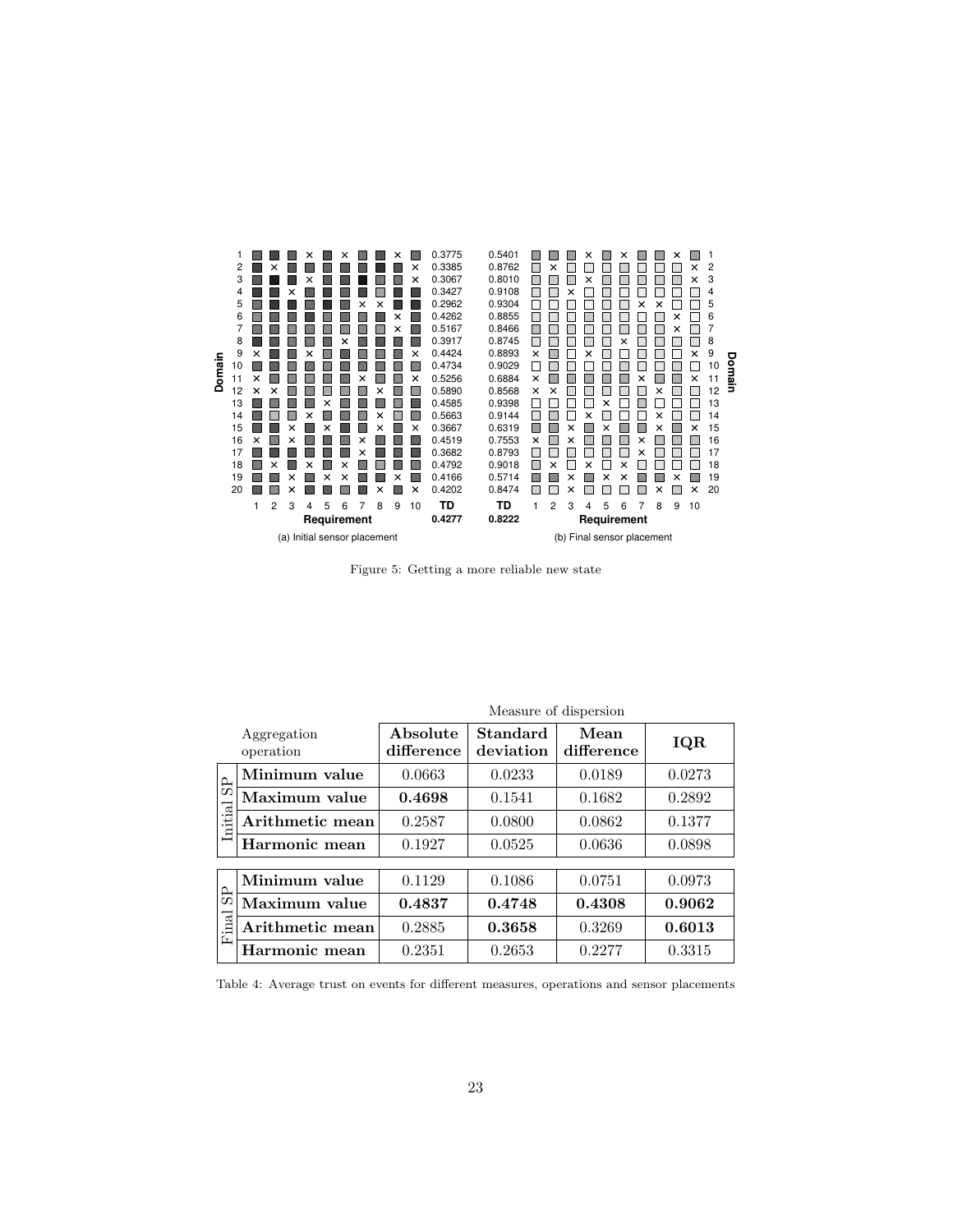

Figure 5: Getting a more reliable new state

|                                 |                          | Measure of dispersion  |                       |                    |        |
|---------------------------------|--------------------------|------------------------|-----------------------|--------------------|--------|
|                                 | Aggregation<br>operation | Absolute<br>difference | Standard<br>deviation | Mean<br>difference | IQR    |
| 95                              | Minimum value            | 0.0663                 | 0.0233                | 0.0189             | 0.0273 |
| ಡ<br>Initi                      | Maximum value            | 0.4698                 | 0.1541                | 0.1682             | 0.2892 |
|                                 | Arithmetic mean          | 0.2587                 | 0.0800                | 0.0862             | 0.1377 |
|                                 | Harmonic mean            | 0.1927                 | 0.0525                | 0.0636             | 0.0898 |
|                                 |                          |                        |                       |                    |        |
| S <sub>2</sub><br>.<br>mal<br>匞 | Minimum value            | 0.1129                 | 0.1086                | 0.0751             | 0.0973 |
|                                 | Maximum value            | 0.4837                 | 0.4748                | 0.4308             | 0.9062 |
|                                 | Arithmetic mean          | 0.2885                 | 0.3658                | 0.3269             | 0.6013 |
|                                 | Harmonic mean            | 0.2351                 | 0.2653                | 0.2277             | 0.3315 |

Measure of dispersion

Table 4: Average trust on events for different measures, operations and sensor placements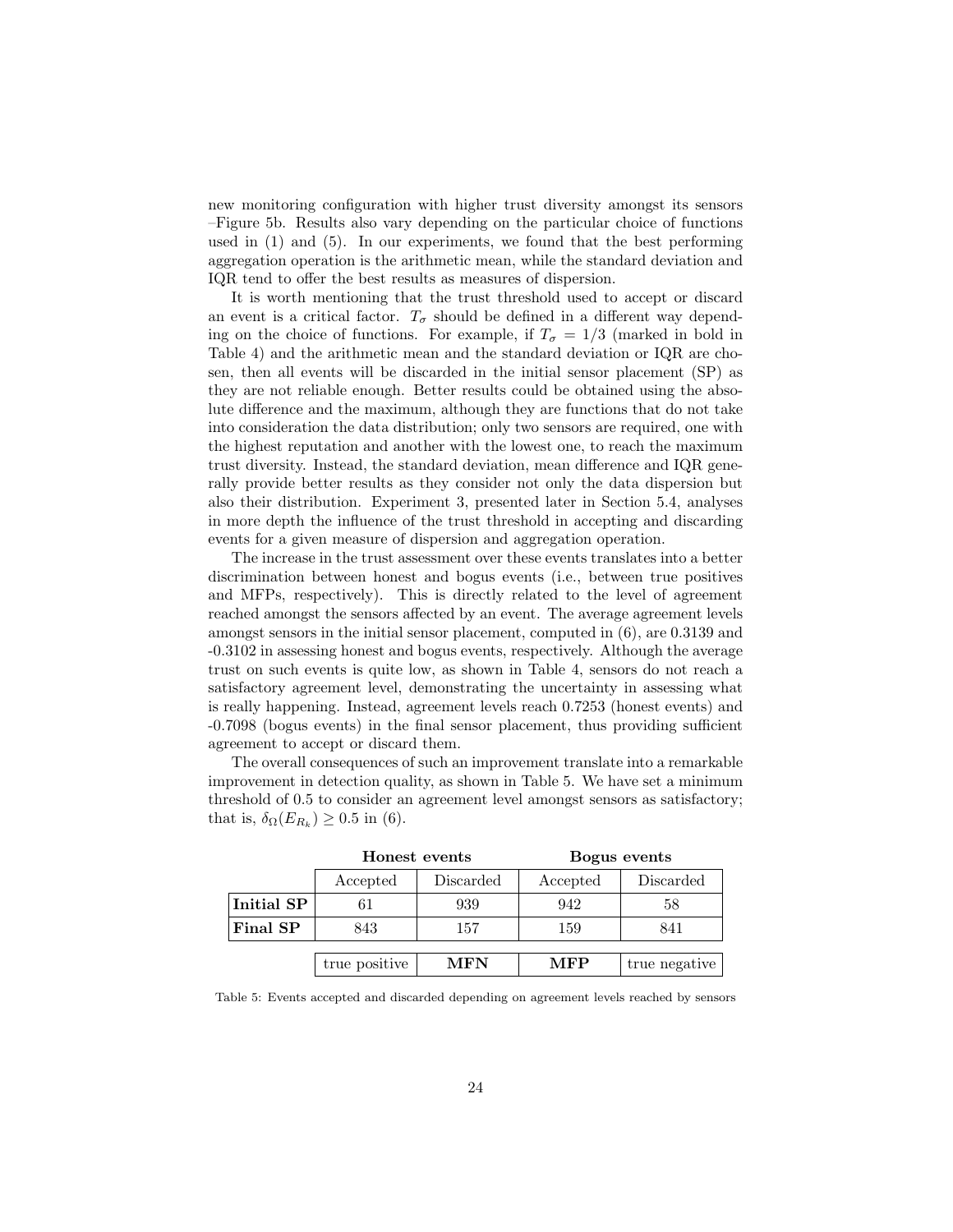new monitoring configuration with higher trust diversity amongst its sensors –Figure 5b. Results also vary depending on the particular choice of functions used in (1) and (5). In our experiments, we found that the best performing aggregation operation is the arithmetic mean, while the standard deviation and IQR tend to offer the best results as measures of dispersion.

It is worth mentioning that the trust threshold used to accept or discard an event is a critical factor.  $T_{\sigma}$  should be defined in a different way depending on the choice of functions. For example, if  $T_{\sigma} = 1/3$  (marked in bold in Table 4) and the arithmetic mean and the standard deviation or IQR are chosen, then all events will be discarded in the initial sensor placement (SP) as they are not reliable enough. Better results could be obtained using the absolute difference and the maximum, although they are functions that do not take into consideration the data distribution; only two sensors are required, one with the highest reputation and another with the lowest one, to reach the maximum trust diversity. Instead, the standard deviation, mean difference and IQR generally provide better results as they consider not only the data dispersion but also their distribution. Experiment 3, presented later in Section 5.4, analyses in more depth the influence of the trust threshold in accepting and discarding events for a given measure of dispersion and aggregation operation.

The increase in the trust assessment over these events translates into a better discrimination between honest and bogus events (i.e., between true positives and MFPs, respectively). This is directly related to the level of agreement reached amongst the sensors affected by an event. The average agreement levels amongst sensors in the initial sensor placement, computed in (6), are 0.3139 and -0.3102 in assessing honest and bogus events, respectively. Although the average trust on such events is quite low, as shown in Table 4, sensors do not reach a satisfactory agreement level, demonstrating the uncertainty in assessing what is really happening. Instead, agreement levels reach 0.7253 (honest events) and -0.7098 (bogus events) in the final sensor placement, thus providing sufficient agreement to accept or discard them.

The overall consequences of such an improvement translate into a remarkable improvement in detection quality, as shown in Table 5. We have set a minimum threshold of 0.5 to consider an agreement level amongst sensors as satisfactory; that is,  $\delta_{\Omega}(E_{R_k}) \geq 0.5$  in (6).

|            | Honest events |           | Bogus events |               |  |
|------------|---------------|-----------|--------------|---------------|--|
| Accepted   |               | Discarded | Accepted     | Discarded     |  |
| Initial SP | 61            | 939       | 942          | 58            |  |
| Final SP   | 843           | 157       | 159          | 841           |  |
|            |               |           |              |               |  |
|            | true positive | MFN       | <b>MFP</b>   | true negative |  |

Table 5: Events accepted and discarded depending on agreement levels reached by sensors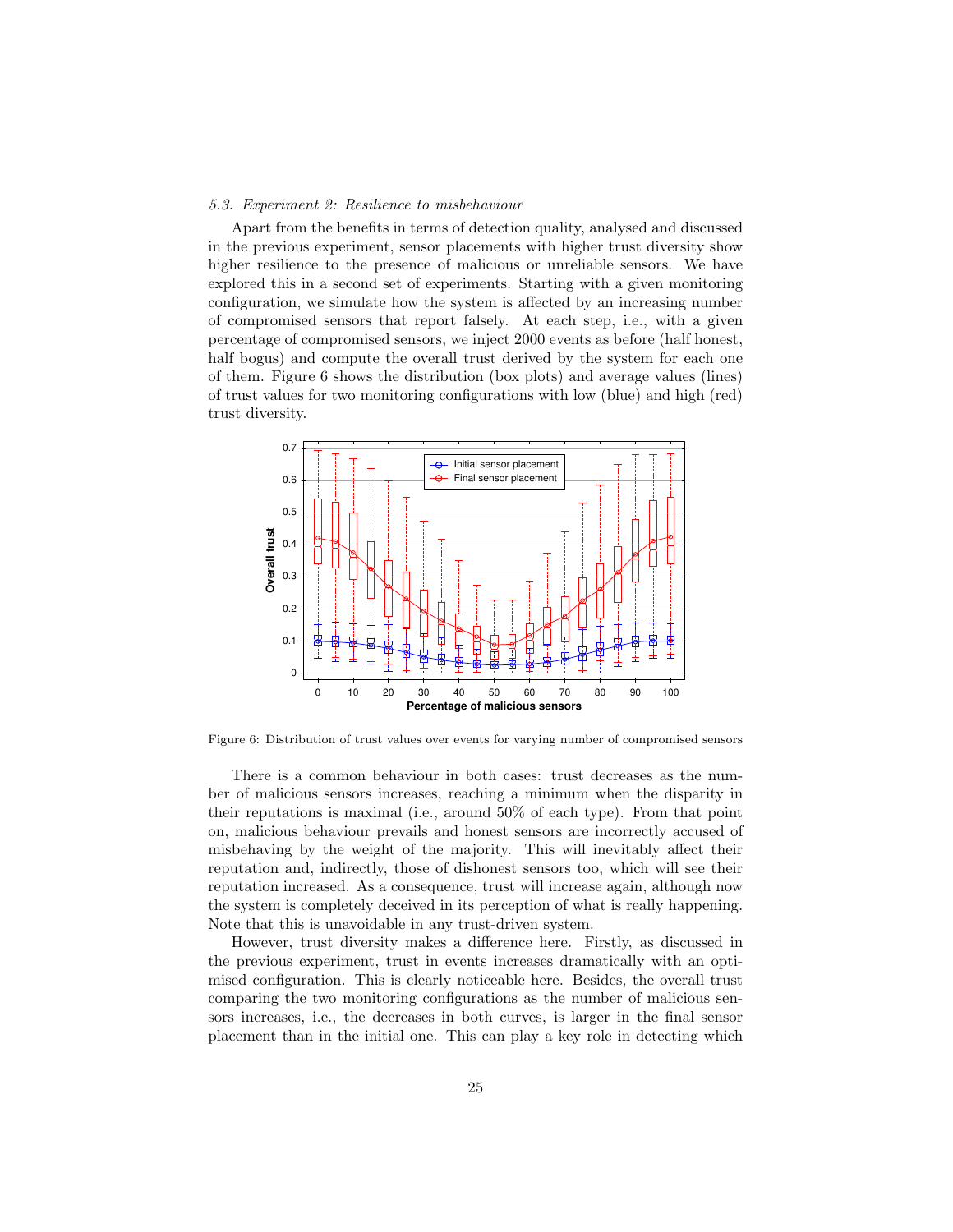#### *5.3. Experiment 2: Resilience to misbehaviour*

Apart from the benefits in terms of detection quality, analysed and discussed in the previous experiment, sensor placements with higher trust diversity show higher resilience to the presence of malicious or unreliable sensors. We have explored this in a second set of experiments. Starting with a given monitoring configuration, we simulate how the system is affected by an increasing number of compromised sensors that report falsely. At each step, i.e., with a given percentage of compromised sensors, we inject 2000 events as before (half honest, half bogus) and compute the overall trust derived by the system for each one of them. Figure 6 shows the distribution (box plots) and average values (lines) of trust values for two monitoring configurations with low (blue) and high (red) trust diversity.



Figure 6: Distribution of trust values over events for varying number of compromised sensors

There is a common behaviour in both cases: trust decreases as the number of malicious sensors increases, reaching a minimum when the disparity in their reputations is maximal (i.e., around 50% of each type). From that point on, malicious behaviour prevails and honest sensors are incorrectly accused of misbehaving by the weight of the majority. This will inevitably affect their reputation and, indirectly, those of dishonest sensors too, which will see their reputation increased. As a consequence, trust will increase again, although now the system is completely deceived in its perception of what is really happening. Note that this is unavoidable in any trust-driven system.

However, trust diversity makes a difference here. Firstly, as discussed in the previous experiment, trust in events increases dramatically with an optimised configuration. This is clearly noticeable here. Besides, the overall trust comparing the two monitoring configurations as the number of malicious sensors increases, i.e., the decreases in both curves, is larger in the final sensor placement than in the initial one. This can play a key role in detecting which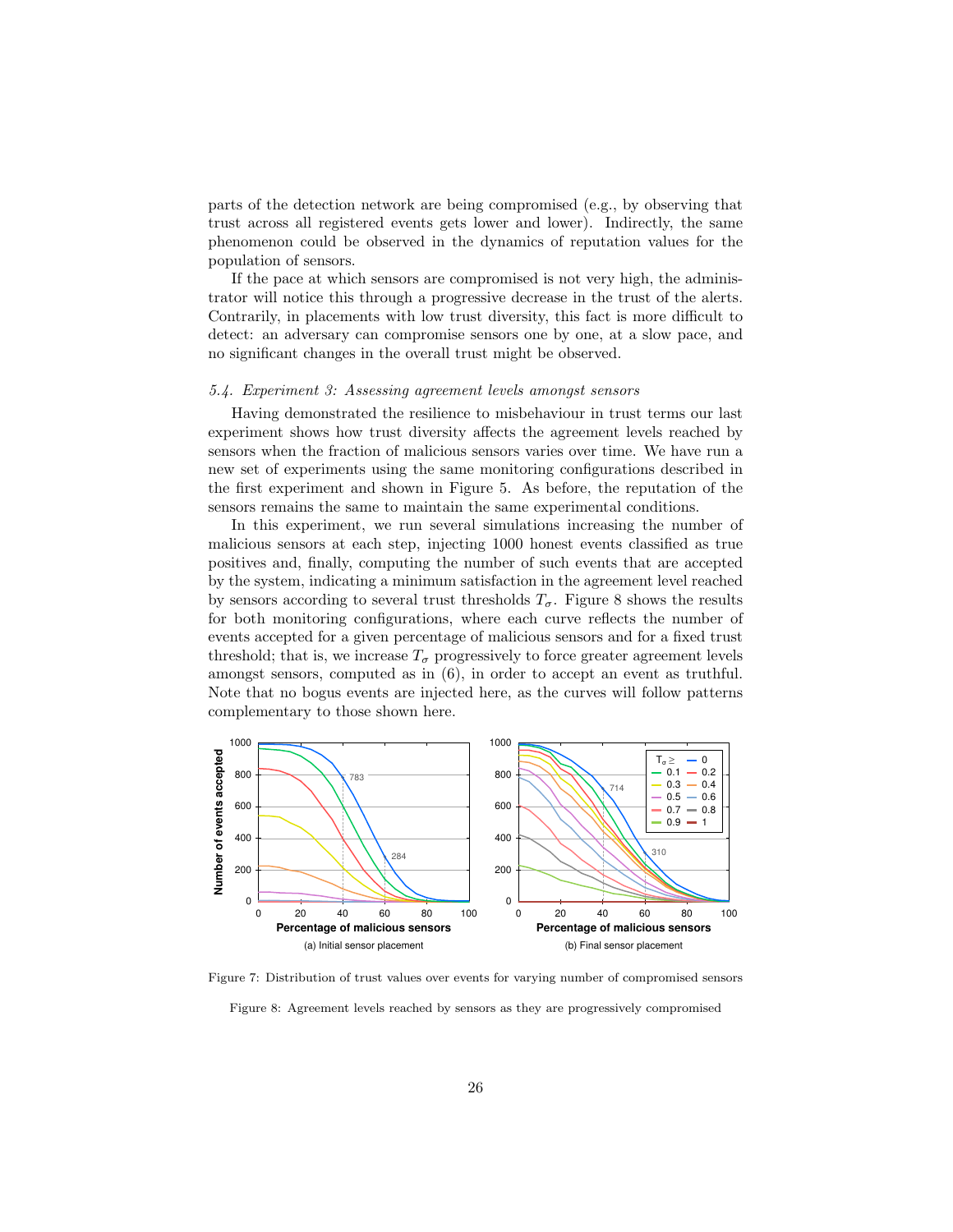parts of the detection network are being compromised (e.g., by observing that trust across all registered events gets lower and lower). Indirectly, the same phenomenon could be observed in the dynamics of reputation values for the population of sensors.

If the pace at which sensors are compromised is not very high, the administrator will notice this through a progressive decrease in the trust of the alerts. Contrarily, in placements with low trust diversity, this fact is more difficult to detect: an adversary can compromise sensors one by one, at a slow pace, and no significant changes in the overall trust might be observed.

#### *5.4. Experiment 3: Assessing agreement levels amongst sensors*

Having demonstrated the resilience to misbehaviour in trust terms our last experiment shows how trust diversity affects the agreement levels reached by sensors when the fraction of malicious sensors varies over time. We have run a new set of experiments using the same monitoring configurations described in the first experiment and shown in Figure 5. As before, the reputation of the sensors remains the same to maintain the same experimental conditions.

In this experiment, we run several simulations increasing the number of malicious sensors at each step, injecting 1000 honest events classified as true positives and, finally, computing the number of such events that are accepted by the system, indicating a minimum satisfaction in the agreement level reached by sensors according to several trust thresholds  $T_{\sigma}$ . Figure 8 shows the results for both monitoring configurations, where each curve reflects the number of events accepted for a given percentage of malicious sensors and for a fixed trust threshold; that is, we increase  $T_{\sigma}$  progressively to force greater agreement levels amongst sensors, computed as in (6), in order to accept an event as truthful. Note that no bogus events are injected here, as the curves will follow patterns complementary to those shown here.



Figure 7: Distribution of trust values over events for varying number of compromised sensors Figure 8: Agreement levels reached by sensors as they are progressively compromised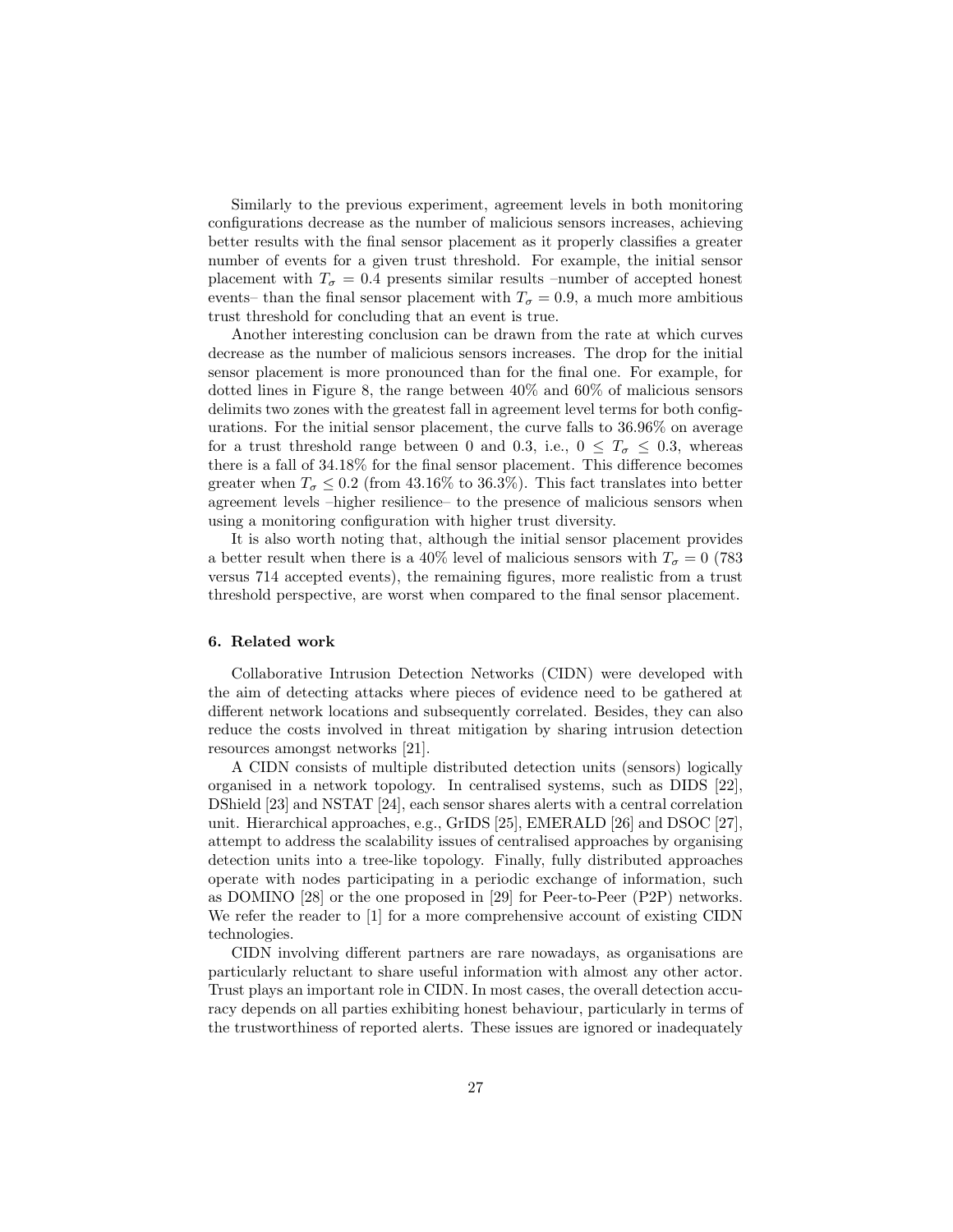Similarly to the previous experiment, agreement levels in both monitoring configurations decrease as the number of malicious sensors increases, achieving better results with the final sensor placement as it properly classifies a greater number of events for a given trust threshold. For example, the initial sensor placement with  $T_{\sigma} = 0.4$  presents similar results –number of accepted honest events– than the final sensor placement with  $T_{\sigma} = 0.9$ , a much more ambitious trust threshold for concluding that an event is true.

Another interesting conclusion can be drawn from the rate at which curves decrease as the number of malicious sensors increases. The drop for the initial sensor placement is more pronounced than for the final one. For example, for dotted lines in Figure 8, the range between 40% and 60% of malicious sensors delimits two zones with the greatest fall in agreement level terms for both configurations. For the initial sensor placement, the curve falls to 36.96% on average for a trust threshold range between 0 and 0.3, i.e.,  $0 \leq T_{\sigma} \leq 0.3$ , whereas there is a fall of 34.18% for the final sensor placement. This difference becomes greater when  $T_{\sigma} \leq 0.2$  (from 43.16% to 36.3%). This fact translates into better agreement levels –higher resilience– to the presence of malicious sensors when using a monitoring configuration with higher trust diversity.

It is also worth noting that, although the initial sensor placement provides a better result when there is a 40% level of malicious sensors with  $T_{\sigma} = 0$  (783) versus 714 accepted events), the remaining figures, more realistic from a trust threshold perspective, are worst when compared to the final sensor placement.

## 6. Related work

Collaborative Intrusion Detection Networks (CIDN) were developed with the aim of detecting attacks where pieces of evidence need to be gathered at different network locations and subsequently correlated. Besides, they can also reduce the costs involved in threat mitigation by sharing intrusion detection resources amongst networks [21].

A CIDN consists of multiple distributed detection units (sensors) logically organised in a network topology. In centralised systems, such as DIDS [22], DShield [23] and NSTAT [24], each sensor shares alerts with a central correlation unit. Hierarchical approaches, e.g., GrIDS [25], EMERALD [26] and DSOC [27], attempt to address the scalability issues of centralised approaches by organising detection units into a tree-like topology. Finally, fully distributed approaches operate with nodes participating in a periodic exchange of information, such as DOMINO [28] or the one proposed in [29] for Peer-to-Peer (P2P) networks. We refer the reader to [1] for a more comprehensive account of existing CIDN technologies.

CIDN involving different partners are rare nowadays, as organisations are particularly reluctant to share useful information with almost any other actor. Trust plays an important role in CIDN. In most cases, the overall detection accuracy depends on all parties exhibiting honest behaviour, particularly in terms of the trustworthiness of reported alerts. These issues are ignored or inadequately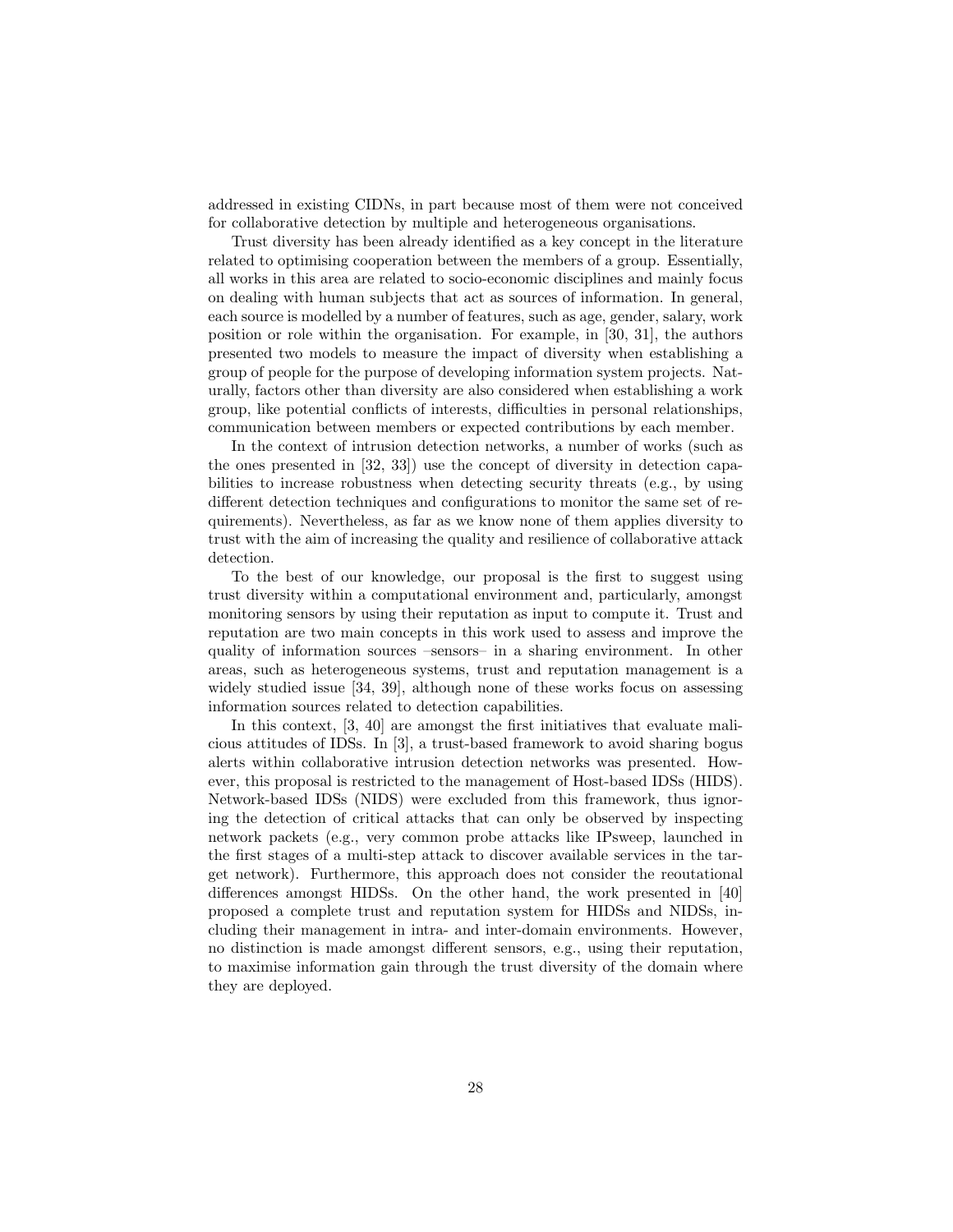addressed in existing CIDNs, in part because most of them were not conceived for collaborative detection by multiple and heterogeneous organisations.

Trust diversity has been already identified as a key concept in the literature related to optimising cooperation between the members of a group. Essentially, all works in this area are related to socio-economic disciplines and mainly focus on dealing with human subjects that act as sources of information. In general, each source is modelled by a number of features, such as age, gender, salary, work position or role within the organisation. For example, in [30, 31], the authors presented two models to measure the impact of diversity when establishing a group of people for the purpose of developing information system projects. Naturally, factors other than diversity are also considered when establishing a work group, like potential conflicts of interests, difficulties in personal relationships, communication between members or expected contributions by each member.

In the context of intrusion detection networks, a number of works (such as the ones presented in [32, 33]) use the concept of diversity in detection capabilities to increase robustness when detecting security threats (e.g., by using different detection techniques and configurations to monitor the same set of requirements). Nevertheless, as far as we know none of them applies diversity to trust with the aim of increasing the quality and resilience of collaborative attack detection.

To the best of our knowledge, our proposal is the first to suggest using trust diversity within a computational environment and, particularly, amongst monitoring sensors by using their reputation as input to compute it. Trust and reputation are two main concepts in this work used to assess and improve the quality of information sources –sensors– in a sharing environment. In other areas, such as heterogeneous systems, trust and reputation management is a widely studied issue [34, 39], although none of these works focus on assessing information sources related to detection capabilities.

In this context,  $[3, 40]$  are amongst the first initiatives that evaluate malicious attitudes of IDSs. In [3], a trust-based framework to avoid sharing bogus alerts within collaborative intrusion detection networks was presented. However, this proposal is restricted to the management of Host-based IDSs (HIDS). Network-based IDSs (NIDS) were excluded from this framework, thus ignoring the detection of critical attacks that can only be observed by inspecting network packets (e.g., very common probe attacks like IPsweep, launched in the first stages of a multi-step attack to discover available services in the target network). Furthermore, this approach does not consider the reoutational differences amongst HIDSs. On the other hand, the work presented in [40] proposed a complete trust and reputation system for HIDSs and NIDSs, including their management in intra- and inter-domain environments. However, no distinction is made amongst different sensors, e.g., using their reputation, to maximise information gain through the trust diversity of the domain where they are deployed.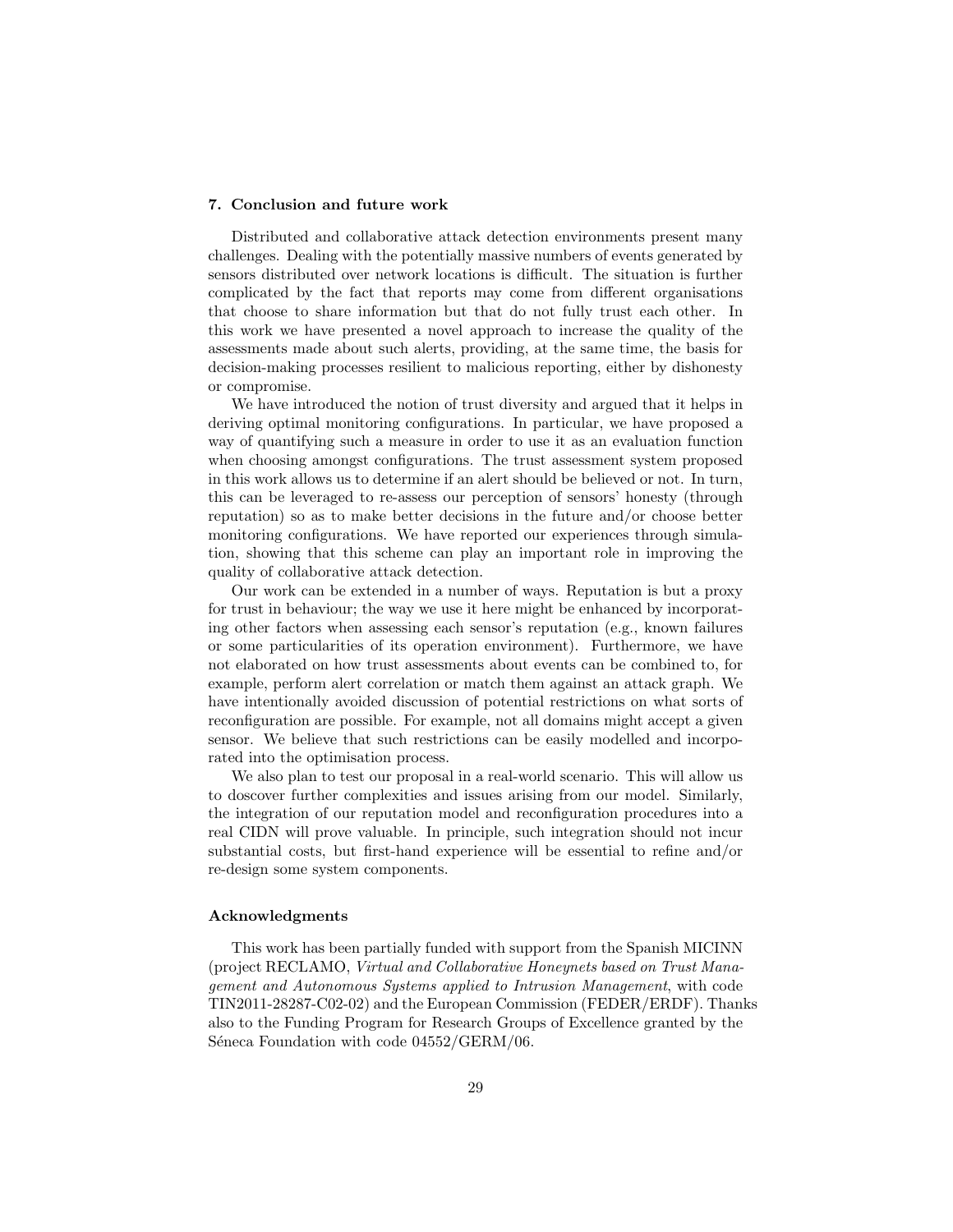#### 7. Conclusion and future work

Distributed and collaborative attack detection environments present many challenges. Dealing with the potentially massive numbers of events generated by sensors distributed over network locations is difficult. The situation is further complicated by the fact that reports may come from different organisations that choose to share information but that do not fully trust each other. In this work we have presented a novel approach to increase the quality of the assessments made about such alerts, providing, at the same time, the basis for decision-making processes resilient to malicious reporting, either by dishonesty or compromise.

We have introduced the notion of trust diversity and argued that it helps in deriving optimal monitoring configurations. In particular, we have proposed a way of quantifying such a measure in order to use it as an evaluation function when choosing amongst configurations. The trust assessment system proposed in this work allows us to determine if an alert should be believed or not. In turn, this can be leveraged to re-assess our perception of sensors' honesty (through reputation) so as to make better decisions in the future and/or choose better monitoring configurations. We have reported our experiences through simulation, showing that this scheme can play an important role in improving the quality of collaborative attack detection.

Our work can be extended in a number of ways. Reputation is but a proxy for trust in behaviour; the way we use it here might be enhanced by incorporating other factors when assessing each sensor's reputation (e.g., known failures or some particularities of its operation environment). Furthermore, we have not elaborated on how trust assessments about events can be combined to, for example, perform alert correlation or match them against an attack graph. We have intentionally avoided discussion of potential restrictions on what sorts of reconfiguration are possible. For example, not all domains might accept a given sensor. We believe that such restrictions can be easily modelled and incorporated into the optimisation process.

We also plan to test our proposal in a real-world scenario. This will allow us to doscover further complexities and issues arising from our model. Similarly, the integration of our reputation model and reconfiguration procedures into a real CIDN will prove valuable. In principle, such integration should not incur substantial costs, but first-hand experience will be essential to refine and/or re-design some system components.

# Acknowledgments

This work has been partially funded with support from the Spanish MICINN (project RECLAMO, *Virtual and Collaborative Honeynets based on Trust Management and Autonomous Systems applied to Intrusion Management*, with code TIN2011-28287-C02-02) and the European Commission (FEDER/ERDF). Thanks also to the Funding Program for Research Groups of Excellence granted by the Séneca Foundation with code  $04552/\text{GERM}/06$ .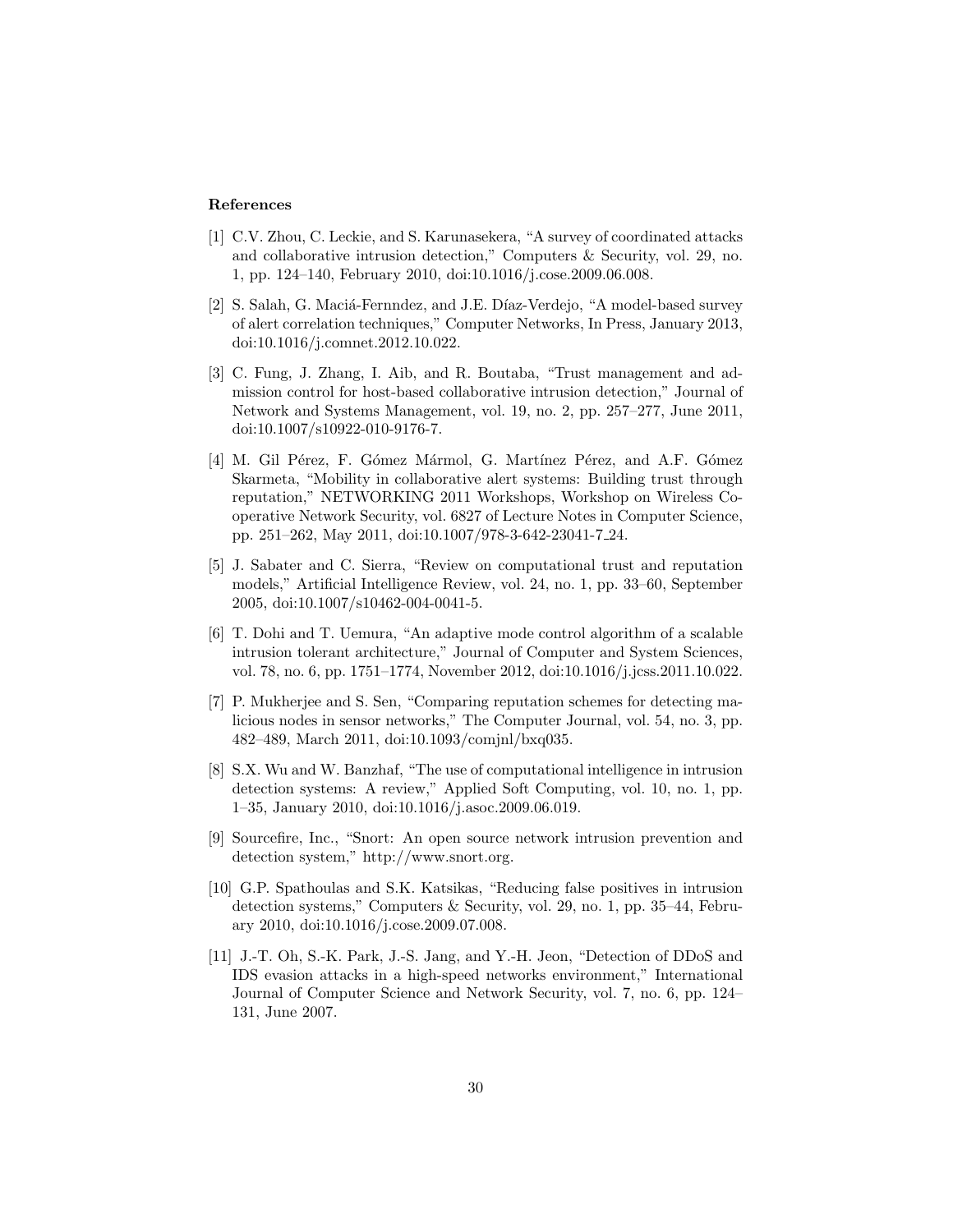## References

- [1] C.V. Zhou, C. Leckie, and S. Karunasekera, "A survey of coordinated attacks and collaborative intrusion detection," Computers & Security, vol. 29, no. 1, pp. 124–140, February 2010, doi:10.1016/j.cose.2009.06.008.
- [2] S. Salah, G. Maciá-Fernndez, and J.E. Díaz-Verdejo, "A model-based survey of alert correlation techniques," Computer Networks, In Press, January 2013, doi:10.1016/j.comnet.2012.10.022.
- [3] C. Fung, J. Zhang, I. Aib, and R. Boutaba, "Trust management and admission control for host-based collaborative intrusion detection," Journal of Network and Systems Management, vol. 19, no. 2, pp. 257–277, June 2011, doi:10.1007/s10922-010-9176-7.
- [4] M. Gil Pérez, F. Gómez Mármol, G. Martínez Pérez, and A.F. Gómez Skarmeta, "Mobility in collaborative alert systems: Building trust through reputation," NETWORKING 2011 Workshops, Workshop on Wireless Cooperative Network Security, vol. 6827 of Lecture Notes in Computer Science, pp. 251–262, May 2011, doi:10.1007/978-3-642-23041-7 24.
- [5] J. Sabater and C. Sierra, "Review on computational trust and reputation models," Artificial Intelligence Review, vol. 24, no. 1, pp. 33–60, September 2005, doi:10.1007/s10462-004-0041-5.
- [6] T. Dohi and T. Uemura, "An adaptive mode control algorithm of a scalable intrusion tolerant architecture," Journal of Computer and System Sciences, vol. 78, no. 6, pp. 1751–1774, November 2012, doi:10.1016/j.jcss.2011.10.022.
- [7] P. Mukherjee and S. Sen, "Comparing reputation schemes for detecting malicious nodes in sensor networks," The Computer Journal, vol. 54, no. 3, pp. 482–489, March 2011, doi:10.1093/comjnl/bxq035.
- [8] S.X. Wu and W. Banzhaf, "The use of computational intelligence in intrusion detection systems: A review," Applied Soft Computing, vol. 10, no. 1, pp. 1–35, January 2010, doi:10.1016/j.asoc.2009.06.019.
- [9] Sourcefire, Inc., "Snort: An open source network intrusion prevention and detection system," http://www.snort.org.
- [10] G.P. Spathoulas and S.K. Katsikas, "Reducing false positives in intrusion detection systems," Computers & Security, vol. 29, no. 1, pp. 35–44, February 2010, doi:10.1016/j.cose.2009.07.008.
- [11] J.-T. Oh, S.-K. Park, J.-S. Jang, and Y.-H. Jeon, "Detection of DDoS and IDS evasion attacks in a high-speed networks environment," International Journal of Computer Science and Network Security, vol. 7, no. 6, pp. 124– 131, June 2007.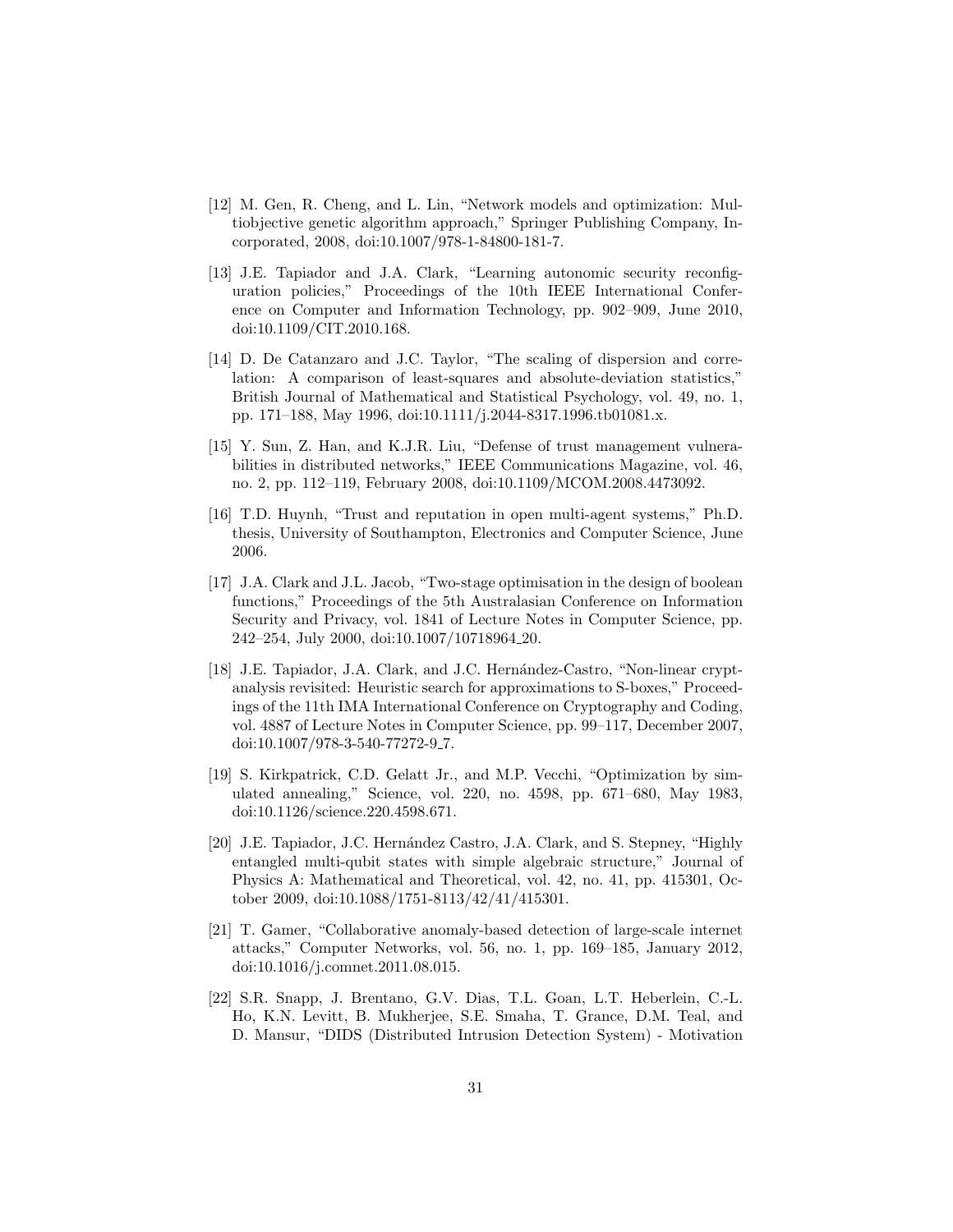- [12] M. Gen, R. Cheng, and L. Lin, "Network models and optimization: Multiobjective genetic algorithm approach," Springer Publishing Company, Incorporated, 2008, doi:10.1007/978-1-84800-181-7.
- [13] J.E. Tapiador and J.A. Clark, "Learning autonomic security reconfiguration policies," Proceedings of the 10th IEEE International Conference on Computer and Information Technology, pp. 902–909, June 2010, doi:10.1109/CIT.2010.168.
- [14] D. De Catanzaro and J.C. Taylor, "The scaling of dispersion and correlation: A comparison of least-squares and absolute-deviation statistics," British Journal of Mathematical and Statistical Psychology, vol. 49, no. 1, pp. 171–188, May 1996, doi:10.1111/j.2044-8317.1996.tb01081.x.
- [15] Y. Sun, Z. Han, and K.J.R. Liu, "Defense of trust management vulnerabilities in distributed networks," IEEE Communications Magazine, vol. 46, no. 2, pp. 112–119, February 2008, doi:10.1109/MCOM.2008.4473092.
- [16] T.D. Huynh, "Trust and reputation in open multi-agent systems," Ph.D. thesis, University of Southampton, Electronics and Computer Science, June 2006.
- [17] J.A. Clark and J.L. Jacob, "Two-stage optimisation in the design of boolean functions," Proceedings of the 5th Australasian Conference on Information Security and Privacy, vol. 1841 of Lecture Notes in Computer Science, pp. 242–254, July 2000, doi:10.1007/10718964 20.
- [18] J.E. Tapiador, J.A. Clark, and J.C. Hernández-Castro, "Non-linear cryptanalysis revisited: Heuristic search for approximations to S-boxes," Proceedings of the 11th IMA International Conference on Cryptography and Coding, vol. 4887 of Lecture Notes in Computer Science, pp. 99–117, December 2007, doi:10.1007/978-3-540-77272-9 7.
- [19] S. Kirkpatrick, C.D. Gelatt Jr., and M.P. Vecchi, "Optimization by simulated annealing," Science, vol. 220, no. 4598, pp. 671–680, May 1983, doi:10.1126/science.220.4598.671.
- [20] J.E. Tapiador, J.C. Hernández Castro, J.A. Clark, and S. Stepney, "Highly entangled multi-qubit states with simple algebraic structure," Journal of Physics A: Mathematical and Theoretical, vol. 42, no. 41, pp. 415301, October 2009, doi:10.1088/1751-8113/42/41/415301.
- [21] T. Gamer, "Collaborative anomaly-based detection of large-scale internet attacks," Computer Networks, vol. 56, no. 1, pp. 169–185, January 2012, doi:10.1016/j.comnet.2011.08.015.
- [22] S.R. Snapp, J. Brentano, G.V. Dias, T.L. Goan, L.T. Heberlein, C.-L. Ho, K.N. Levitt, B. Mukherjee, S.E. Smaha, T. Grance, D.M. Teal, and D. Mansur, "DIDS (Distributed Intrusion Detection System) - Motivation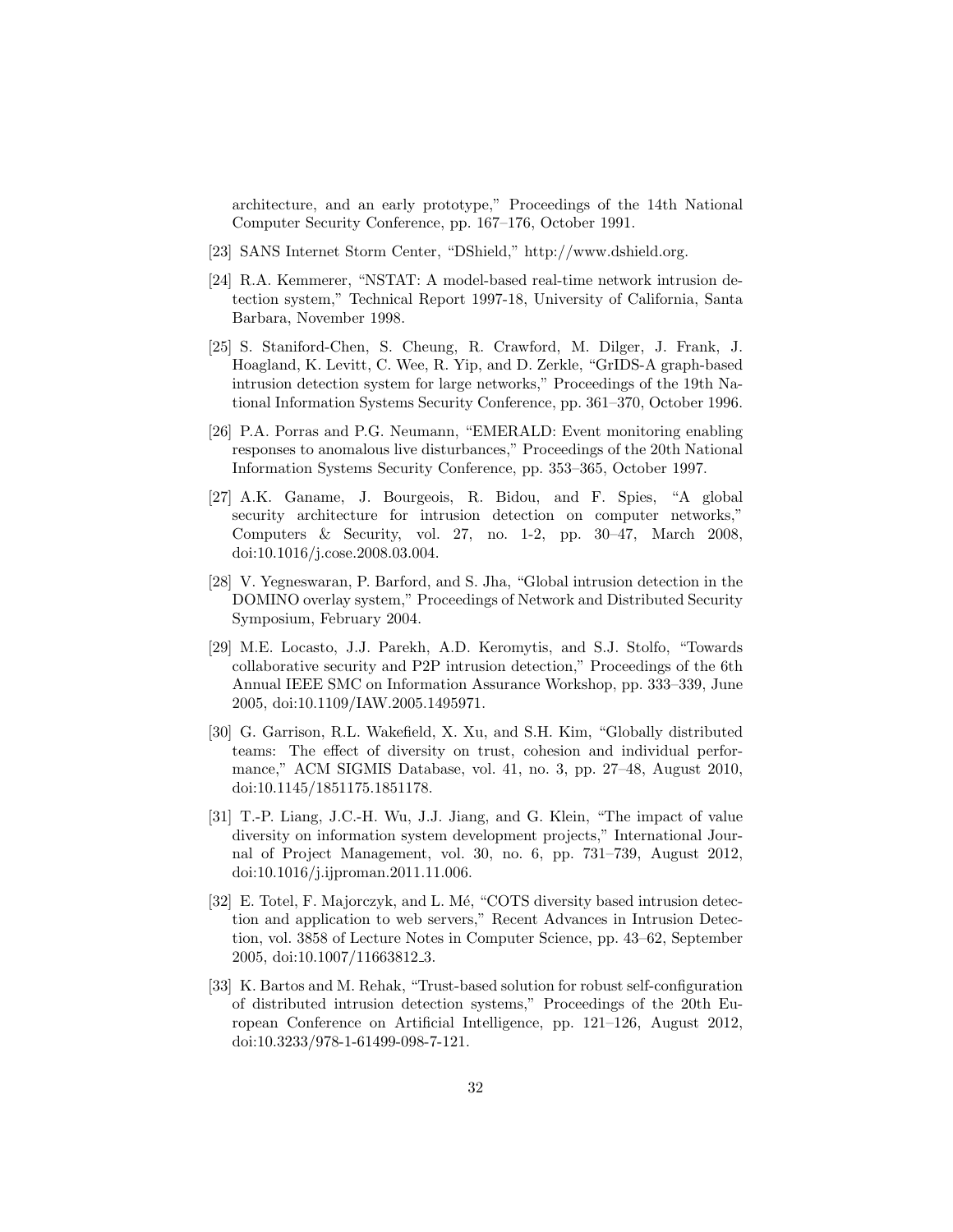architecture, and an early prototype," Proceedings of the 14th National Computer Security Conference, pp. 167–176, October 1991.

- [23] SANS Internet Storm Center, "DShield," http://www.dshield.org.
- [24] R.A. Kemmerer, "NSTAT: A model-based real-time network intrusion detection system," Technical Report 1997-18, University of California, Santa Barbara, November 1998.
- [25] S. Staniford-Chen, S. Cheung, R. Crawford, M. Dilger, J. Frank, J. Hoagland, K. Levitt, C. Wee, R. Yip, and D. Zerkle, "GrIDS-A graph-based intrusion detection system for large networks," Proceedings of the 19th National Information Systems Security Conference, pp. 361–370, October 1996.
- [26] P.A. Porras and P.G. Neumann, "EMERALD: Event monitoring enabling responses to anomalous live disturbances," Proceedings of the 20th National Information Systems Security Conference, pp. 353–365, October 1997.
- [27] A.K. Ganame, J. Bourgeois, R. Bidou, and F. Spies, "A global security architecture for intrusion detection on computer networks," Computers & Security, vol. 27, no. 1-2, pp. 30–47, March 2008, doi:10.1016/j.cose.2008.03.004.
- [28] V. Yegneswaran, P. Barford, and S. Jha, "Global intrusion detection in the DOMINO overlay system," Proceedings of Network and Distributed Security Symposium, February 2004.
- [29] M.E. Locasto, J.J. Parekh, A.D. Keromytis, and S.J. Stolfo, "Towards collaborative security and P2P intrusion detection," Proceedings of the 6th Annual IEEE SMC on Information Assurance Workshop, pp. 333–339, June 2005, doi:10.1109/IAW.2005.1495971.
- [30] G. Garrison, R.L. Wakefield, X. Xu, and S.H. Kim, "Globally distributed teams: The effect of diversity on trust, cohesion and individual performance," ACM SIGMIS Database, vol. 41, no. 3, pp. 27–48, August 2010, doi:10.1145/1851175.1851178.
- [31] T.-P. Liang, J.C.-H. Wu, J.J. Jiang, and G. Klein, "The impact of value diversity on information system development projects," International Journal of Project Management, vol. 30, no. 6, pp. 731–739, August 2012, doi:10.1016/j.ijproman.2011.11.006.
- [32] E. Totel, F. Majorczyk, and L. Mé, "COTS diversity based intrusion detection and application to web servers," Recent Advances in Intrusion Detection, vol. 3858 of Lecture Notes in Computer Science, pp. 43–62, September 2005, doi:10.1007/11663812 3.
- [33] K. Bartos and M. Rehak, "Trust-based solution for robust self-configuration of distributed intrusion detection systems," Proceedings of the 20th European Conference on Artificial Intelligence, pp. 121–126, August 2012, doi:10.3233/978-1-61499-098-7-121.